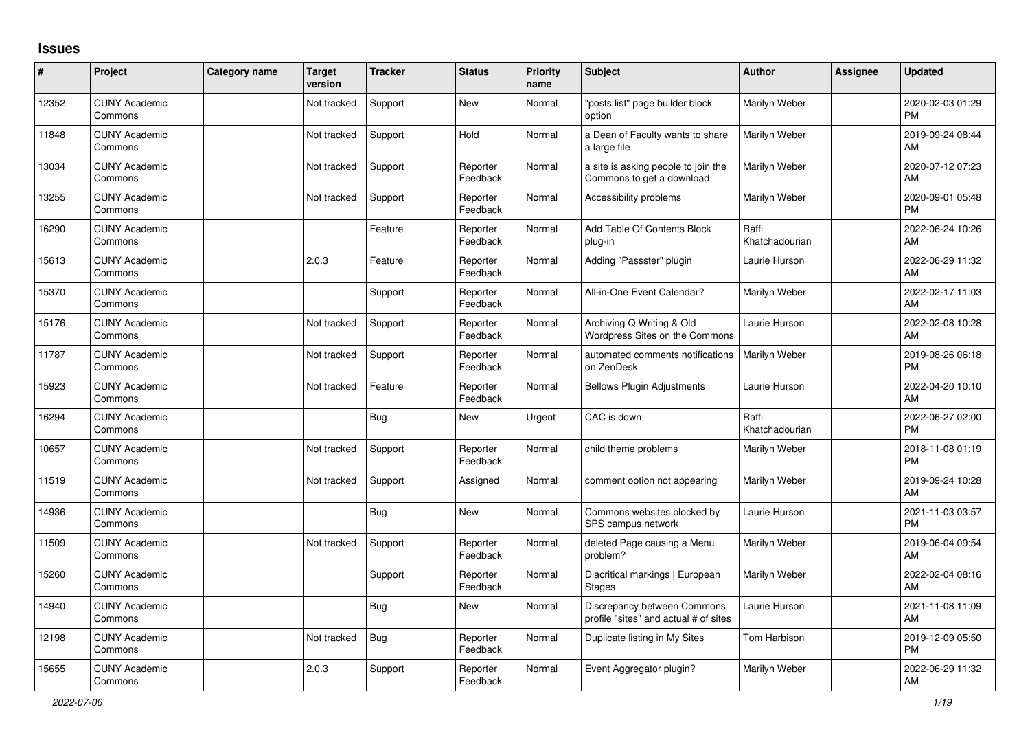## **Issues**

| #     | Project                         | Category name | <b>Target</b><br>version | <b>Tracker</b> | <b>Status</b>        | <b>Priority</b><br>name | Subject                                                              | <b>Author</b>           | <b>Assignee</b> | <b>Updated</b>                |
|-------|---------------------------------|---------------|--------------------------|----------------|----------------------|-------------------------|----------------------------------------------------------------------|-------------------------|-----------------|-------------------------------|
| 12352 | <b>CUNY Academic</b><br>Commons |               | Not tracked              | Support        | <b>New</b>           | Normal                  | "posts list" page builder block<br>option                            | Marilyn Weber           |                 | 2020-02-03 01:29<br><b>PM</b> |
| 11848 | <b>CUNY Academic</b><br>Commons |               | Not tracked              | Support        | Hold                 | Normal                  | a Dean of Faculty wants to share<br>a large file                     | Marilyn Weber           |                 | 2019-09-24 08:44<br>AM        |
| 13034 | <b>CUNY Academic</b><br>Commons |               | Not tracked              | Support        | Reporter<br>Feedback | Normal                  | a site is asking people to join the<br>Commons to get a download     | Marilyn Weber           |                 | 2020-07-12 07:23<br><b>AM</b> |
| 13255 | <b>CUNY Academic</b><br>Commons |               | Not tracked              | Support        | Reporter<br>Feedback | Normal                  | Accessibility problems                                               | Marilyn Weber           |                 | 2020-09-01 05:48<br><b>PM</b> |
| 16290 | <b>CUNY Academic</b><br>Commons |               |                          | Feature        | Reporter<br>Feedback | Normal                  | Add Table Of Contents Block<br>plug-in                               | Raffi<br>Khatchadourian |                 | 2022-06-24 10:26<br>AM        |
| 15613 | <b>CUNY Academic</b><br>Commons |               | 2.0.3                    | Feature        | Reporter<br>Feedback | Normal                  | Adding "Passster" plugin                                             | Laurie Hurson           |                 | 2022-06-29 11:32<br><b>AM</b> |
| 15370 | <b>CUNY Academic</b><br>Commons |               |                          | Support        | Reporter<br>Feedback | Normal                  | All-in-One Event Calendar?                                           | Marilyn Weber           |                 | 2022-02-17 11:03<br>AM        |
| 15176 | <b>CUNY Academic</b><br>Commons |               | Not tracked              | Support        | Reporter<br>Feedback | Normal                  | Archiving Q Writing & Old<br>Wordpress Sites on the Commons          | Laurie Hurson           |                 | 2022-02-08 10:28<br><b>AM</b> |
| 11787 | <b>CUNY Academic</b><br>Commons |               | Not tracked              | Support        | Reporter<br>Feedback | Normal                  | automated comments notifications<br>on ZenDesk                       | Marilyn Weber           |                 | 2019-08-26 06:18<br><b>PM</b> |
| 15923 | <b>CUNY Academic</b><br>Commons |               | Not tracked              | Feature        | Reporter<br>Feedback | Normal                  | <b>Bellows Plugin Adjustments</b>                                    | Laurie Hurson           |                 | 2022-04-20 10:10<br>AM        |
| 16294 | <b>CUNY Academic</b><br>Commons |               |                          | Bug            | <b>New</b>           | Urgent                  | CAC is down                                                          | Raffi<br>Khatchadourian |                 | 2022-06-27 02:00<br><b>PM</b> |
| 10657 | <b>CUNY Academic</b><br>Commons |               | Not tracked              | Support        | Reporter<br>Feedback | Normal                  | child theme problems                                                 | Marilyn Weber           |                 | 2018-11-08 01:19<br><b>PM</b> |
| 11519 | <b>CUNY Academic</b><br>Commons |               | Not tracked              | Support        | Assigned             | Normal                  | comment option not appearing                                         | Marilyn Weber           |                 | 2019-09-24 10:28<br>AM        |
| 14936 | <b>CUNY Academic</b><br>Commons |               |                          | <b>Bug</b>     | <b>New</b>           | Normal                  | Commons websites blocked by<br>SPS campus network                    | Laurie Hurson           |                 | 2021-11-03 03:57<br><b>PM</b> |
| 11509 | <b>CUNY Academic</b><br>Commons |               | Not tracked              | Support        | Reporter<br>Feedback | Normal                  | deleted Page causing a Menu<br>problem?                              | Marilyn Weber           |                 | 2019-06-04 09:54<br>AM        |
| 15260 | <b>CUNY Academic</b><br>Commons |               |                          | Support        | Reporter<br>Feedback | Normal                  | Diacritical markings   European<br><b>Stages</b>                     | Marilyn Weber           |                 | 2022-02-04 08:16<br><b>AM</b> |
| 14940 | <b>CUNY Academic</b><br>Commons |               |                          | Bug            | New                  | Normal                  | Discrepancy between Commons<br>profile "sites" and actual # of sites | Laurie Hurson           |                 | 2021-11-08 11:09<br>AM        |
| 12198 | <b>CUNY Academic</b><br>Commons |               | Not tracked              | Bug            | Reporter<br>Feedback | Normal                  | Duplicate listing in My Sites                                        | Tom Harbison            |                 | 2019-12-09 05:50<br><b>PM</b> |
| 15655 | <b>CUNY Academic</b><br>Commons |               | 2.0.3                    | Support        | Reporter<br>Feedback | Normal                  | Event Aggregator plugin?                                             | Marilyn Weber           |                 | 2022-06-29 11:32<br>AM        |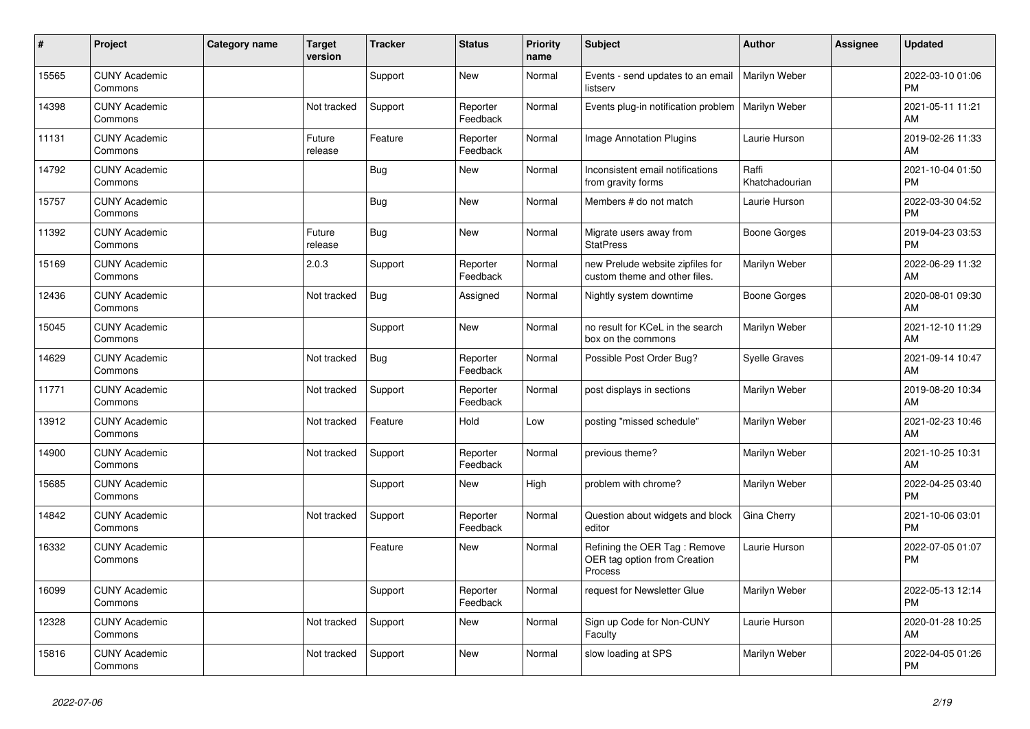| ∦     | Project                         | <b>Category name</b> | <b>Target</b><br>version | <b>Tracker</b> | <b>Status</b>        | <b>Priority</b><br>name | <b>Subject</b>                                                          | <b>Author</b>           | Assignee | <b>Updated</b>                |
|-------|---------------------------------|----------------------|--------------------------|----------------|----------------------|-------------------------|-------------------------------------------------------------------------|-------------------------|----------|-------------------------------|
| 15565 | <b>CUNY Academic</b><br>Commons |                      |                          | Support        | New                  | Normal                  | Events - send updates to an email<br>listserv                           | Marilyn Weber           |          | 2022-03-10 01:06<br><b>PM</b> |
| 14398 | <b>CUNY Academic</b><br>Commons |                      | Not tracked              | Support        | Reporter<br>Feedback | Normal                  | Events plug-in notification problem   Marilyn Weber                     |                         |          | 2021-05-11 11:21<br>AM        |
| 11131 | <b>CUNY Academic</b><br>Commons |                      | Future<br>release        | Feature        | Reporter<br>Feedback | Normal                  | <b>Image Annotation Plugins</b>                                         | Laurie Hurson           |          | 2019-02-26 11:33<br>AM        |
| 14792 | <b>CUNY Academic</b><br>Commons |                      |                          | <b>Bug</b>     | <b>New</b>           | Normal                  | Inconsistent email notifications<br>from gravity forms                  | Raffi<br>Khatchadourian |          | 2021-10-04 01:50<br><b>PM</b> |
| 15757 | <b>CUNY Academic</b><br>Commons |                      |                          | <b>Bug</b>     | <b>New</b>           | Normal                  | Members # do not match                                                  | Laurie Hurson           |          | 2022-03-30 04:52<br><b>PM</b> |
| 11392 | <b>CUNY Academic</b><br>Commons |                      | Future<br>release        | Bug            | <b>New</b>           | Normal                  | Migrate users away from<br><b>StatPress</b>                             | Boone Gorges            |          | 2019-04-23 03:53<br><b>PM</b> |
| 15169 | <b>CUNY Academic</b><br>Commons |                      | 2.0.3                    | Support        | Reporter<br>Feedback | Normal                  | new Prelude website zipfiles for<br>custom theme and other files.       | Marilyn Weber           |          | 2022-06-29 11:32<br>AM        |
| 12436 | <b>CUNY Academic</b><br>Commons |                      | Not tracked              | <b>Bug</b>     | Assigned             | Normal                  | Nightly system downtime                                                 | Boone Gorges            |          | 2020-08-01 09:30<br>AM.       |
| 15045 | <b>CUNY Academic</b><br>Commons |                      |                          | Support        | <b>New</b>           | Normal                  | no result for KCeL in the search<br>box on the commons                  | Marilyn Weber           |          | 2021-12-10 11:29<br>AM        |
| 14629 | <b>CUNY Academic</b><br>Commons |                      | Not tracked              | <b>Bug</b>     | Reporter<br>Feedback | Normal                  | Possible Post Order Bug?                                                | <b>Syelle Graves</b>    |          | 2021-09-14 10:47<br><b>AM</b> |
| 11771 | <b>CUNY Academic</b><br>Commons |                      | Not tracked              | Support        | Reporter<br>Feedback | Normal                  | post displays in sections                                               | Marilyn Weber           |          | 2019-08-20 10:34<br>AM        |
| 13912 | <b>CUNY Academic</b><br>Commons |                      | Not tracked              | Feature        | Hold                 | Low                     | posting "missed schedule"                                               | Marilyn Weber           |          | 2021-02-23 10:46<br>AM        |
| 14900 | <b>CUNY Academic</b><br>Commons |                      | Not tracked              | Support        | Reporter<br>Feedback | Normal                  | previous theme?                                                         | Marilyn Weber           |          | 2021-10-25 10:31<br>AM        |
| 15685 | <b>CUNY Academic</b><br>Commons |                      |                          | Support        | New                  | High                    | problem with chrome?                                                    | Marilyn Weber           |          | 2022-04-25 03:40<br><b>PM</b> |
| 14842 | <b>CUNY Academic</b><br>Commons |                      | Not tracked              | Support        | Reporter<br>Feedback | Normal                  | Question about widgets and block<br>editor                              | Gina Cherry             |          | 2021-10-06 03:01<br><b>PM</b> |
| 16332 | <b>CUNY Academic</b><br>Commons |                      |                          | Feature        | <b>New</b>           | Normal                  | Refining the OER Tag: Remove<br>OER tag option from Creation<br>Process | Laurie Hurson           |          | 2022-07-05 01:07<br>PM        |
| 16099 | <b>CUNY Academic</b><br>Commons |                      |                          | Support        | Reporter<br>Feedback | Normal                  | request for Newsletter Glue                                             | Marilyn Weber           |          | 2022-05-13 12:14<br><b>PM</b> |
| 12328 | <b>CUNY Academic</b><br>Commons |                      | Not tracked              | Support        | New                  | Normal                  | Sign up Code for Non-CUNY<br>Faculty                                    | Laurie Hurson           |          | 2020-01-28 10:25<br>AM        |
| 15816 | <b>CUNY Academic</b><br>Commons |                      | Not tracked              | Support        | <b>New</b>           | Normal                  | slow loading at SPS                                                     | Marilyn Weber           |          | 2022-04-05 01:26<br>PM        |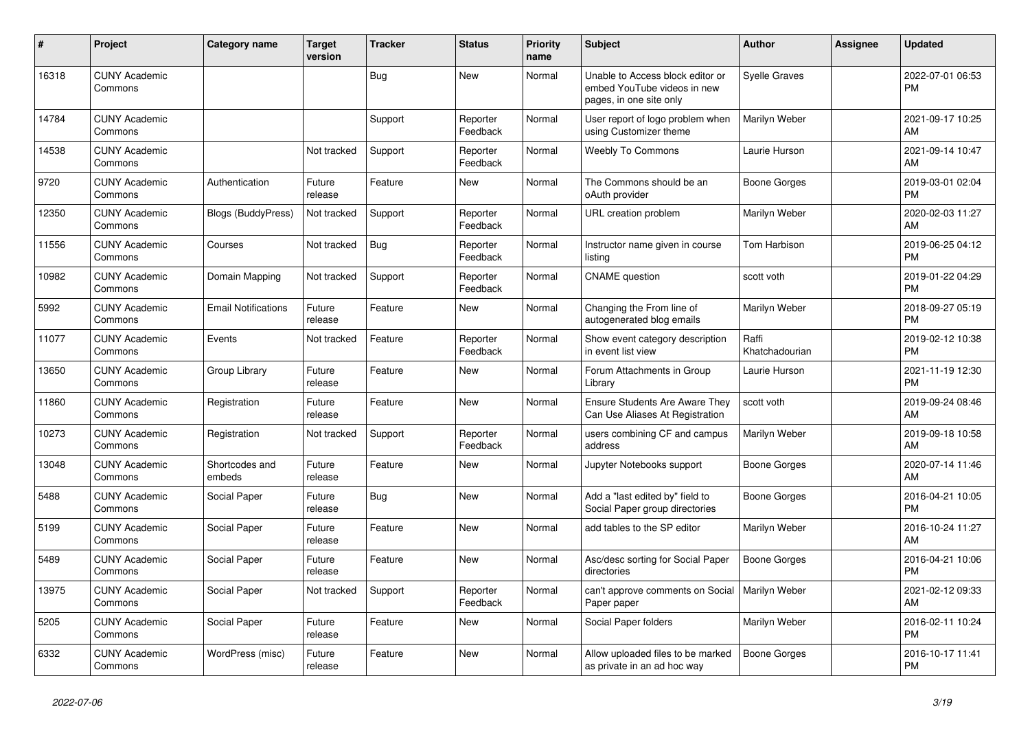| #     | Project                         | <b>Category name</b>       | <b>Target</b><br>version | <b>Tracker</b> | <b>Status</b>        | <b>Priority</b><br>name | <b>Subject</b>                                                                             | <b>Author</b>           | Assignee | <b>Updated</b>                |
|-------|---------------------------------|----------------------------|--------------------------|----------------|----------------------|-------------------------|--------------------------------------------------------------------------------------------|-------------------------|----------|-------------------------------|
| 16318 | <b>CUNY Academic</b><br>Commons |                            |                          | <b>Bug</b>     | New                  | Normal                  | Unable to Access block editor or<br>embed YouTube videos in new<br>pages, in one site only | <b>Syelle Graves</b>    |          | 2022-07-01 06:53<br><b>PM</b> |
| 14784 | <b>CUNY Academic</b><br>Commons |                            |                          | Support        | Reporter<br>Feedback | Normal                  | User report of logo problem when<br>using Customizer theme                                 | Marilyn Weber           |          | 2021-09-17 10:25<br>AM        |
| 14538 | <b>CUNY Academic</b><br>Commons |                            | Not tracked              | Support        | Reporter<br>Feedback | Normal                  | <b>Weebly To Commons</b>                                                                   | Laurie Hurson           |          | 2021-09-14 10:47<br>AM        |
| 9720  | <b>CUNY Academic</b><br>Commons | Authentication             | Future<br>release        | Feature        | New                  | Normal                  | The Commons should be an<br>oAuth provider                                                 | Boone Gorges            |          | 2019-03-01 02:04<br><b>PM</b> |
| 12350 | <b>CUNY Academic</b><br>Commons | <b>Blogs (BuddyPress)</b>  | Not tracked              | Support        | Reporter<br>Feedback | Normal                  | URL creation problem                                                                       | Marilyn Weber           |          | 2020-02-03 11:27<br>AM        |
| 11556 | <b>CUNY Academic</b><br>Commons | Courses                    | Not tracked              | Bug            | Reporter<br>Feedback | Normal                  | Instructor name given in course<br>listing                                                 | Tom Harbison            |          | 2019-06-25 04:12<br><b>PM</b> |
| 10982 | <b>CUNY Academic</b><br>Commons | Domain Mapping             | Not tracked              | Support        | Reporter<br>Feedback | Normal                  | <b>CNAME</b> question                                                                      | scott voth              |          | 2019-01-22 04:29<br><b>PM</b> |
| 5992  | <b>CUNY Academic</b><br>Commons | <b>Email Notifications</b> | Future<br>release        | Feature        | New                  | Normal                  | Changing the From line of<br>autogenerated blog emails                                     | Marilyn Weber           |          | 2018-09-27 05:19<br><b>PM</b> |
| 11077 | <b>CUNY Academic</b><br>Commons | Events                     | Not tracked              | Feature        | Reporter<br>Feedback | Normal                  | Show event category description<br>in event list view                                      | Raffi<br>Khatchadourian |          | 2019-02-12 10:38<br><b>PM</b> |
| 13650 | <b>CUNY Academic</b><br>Commons | Group Library              | Future<br>release        | Feature        | <b>New</b>           | Normal                  | Forum Attachments in Group<br>Library                                                      | Laurie Hurson           |          | 2021-11-19 12:30<br><b>PM</b> |
| 11860 | <b>CUNY Academic</b><br>Commons | Registration               | Future<br>release        | Feature        | New                  | Normal                  | Ensure Students Are Aware They<br>Can Use Aliases At Registration                          | scott voth              |          | 2019-09-24 08:46<br>AM        |
| 10273 | <b>CUNY Academic</b><br>Commons | Registration               | Not tracked              | Support        | Reporter<br>Feedback | Normal                  | users combining CF and campus<br>address                                                   | Marilyn Weber           |          | 2019-09-18 10:58<br>AM        |
| 13048 | <b>CUNY Academic</b><br>Commons | Shortcodes and<br>embeds   | Future<br>release        | Feature        | New                  | Normal                  | Jupyter Notebooks support                                                                  | Boone Gorges            |          | 2020-07-14 11:46<br>AM        |
| 5488  | <b>CUNY Academic</b><br>Commons | Social Paper               | Future<br>release        | <b>Bug</b>     | New                  | Normal                  | Add a "last edited by" field to<br>Social Paper group directories                          | Boone Gorges            |          | 2016-04-21 10:05<br><b>PM</b> |
| 5199  | <b>CUNY Academic</b><br>Commons | Social Paper               | Future<br>release        | Feature        | <b>New</b>           | Normal                  | add tables to the SP editor                                                                | Marilyn Weber           |          | 2016-10-24 11:27<br>AM        |
| 5489  | <b>CUNY Academic</b><br>Commons | Social Paper               | Future<br>release        | Feature        | New                  | Normal                  | Asc/desc sorting for Social Paper<br>directories                                           | <b>Boone Gorges</b>     |          | 2016-04-21 10:06<br><b>PM</b> |
| 13975 | <b>CUNY Academic</b><br>Commons | Social Paper               | Not tracked              | Support        | Reporter<br>Feedback | Normal                  | can't approve comments on Social<br>Paper paper                                            | Marilyn Weber           |          | 2021-02-12 09:33<br>AM        |
| 5205  | <b>CUNY Academic</b><br>Commons | Social Paper               | Future<br>release        | Feature        | New                  | Normal                  | Social Paper folders                                                                       | Marilyn Weber           |          | 2016-02-11 10:24<br><b>PM</b> |
| 6332  | <b>CUNY Academic</b><br>Commons | WordPress (misc)           | Future<br>release        | Feature        | <b>New</b>           | Normal                  | Allow uploaded files to be marked<br>as private in an ad hoc way                           | <b>Boone Gorges</b>     |          | 2016-10-17 11:41<br><b>PM</b> |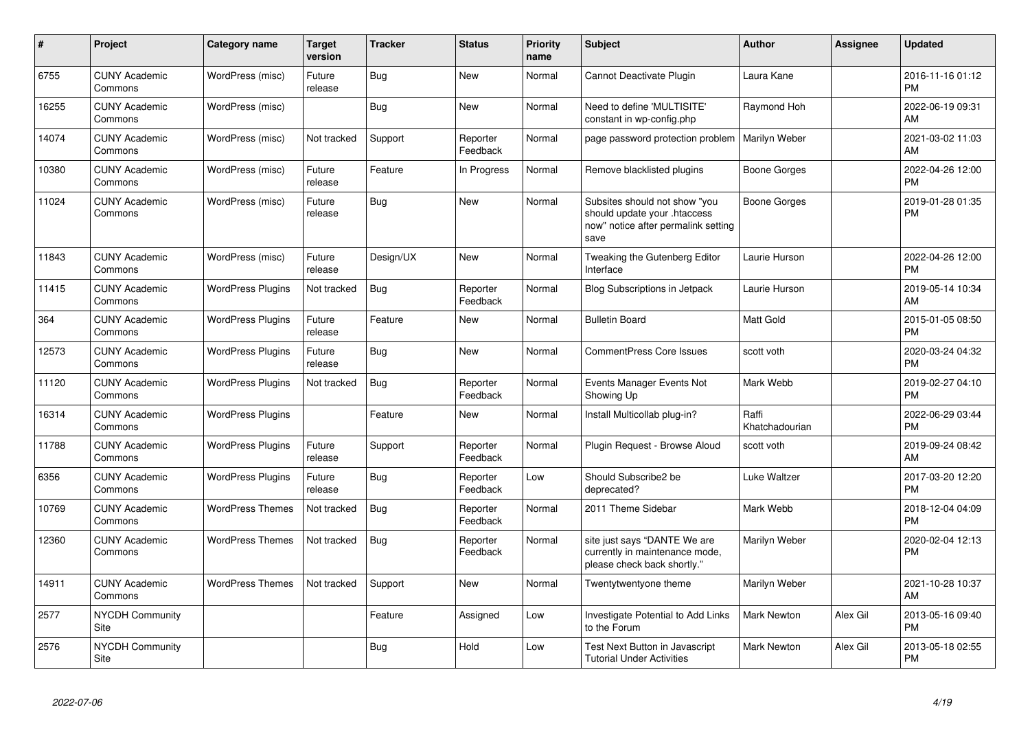| #     | Project                         | <b>Category name</b>     | <b>Target</b><br>version | <b>Tracker</b> | <b>Status</b>        | <b>Priority</b><br>name | <b>Subject</b>                                                                                               | <b>Author</b>           | <b>Assignee</b> | <b>Updated</b>                |
|-------|---------------------------------|--------------------------|--------------------------|----------------|----------------------|-------------------------|--------------------------------------------------------------------------------------------------------------|-------------------------|-----------------|-------------------------------|
| 6755  | <b>CUNY Academic</b><br>Commons | WordPress (misc)         | Future<br>release        | <b>Bug</b>     | New                  | Normal                  | Cannot Deactivate Plugin                                                                                     | Laura Kane              |                 | 2016-11-16 01:12<br><b>PM</b> |
| 16255 | <b>CUNY Academic</b><br>Commons | WordPress (misc)         |                          | <b>Bug</b>     | New                  | Normal                  | Need to define 'MULTISITE'<br>constant in wp-config.php                                                      | Raymond Hoh             |                 | 2022-06-19 09:31<br>AM        |
| 14074 | <b>CUNY Academic</b><br>Commons | WordPress (misc)         | Not tracked              | Support        | Reporter<br>Feedback | Normal                  | page password protection problem                                                                             | Marilyn Weber           |                 | 2021-03-02 11:03<br>AM        |
| 10380 | <b>CUNY Academic</b><br>Commons | WordPress (misc)         | Future<br>release        | Feature        | In Progress          | Normal                  | Remove blacklisted plugins                                                                                   | Boone Gorges            |                 | 2022-04-26 12:00<br><b>PM</b> |
| 11024 | <b>CUNY Academic</b><br>Commons | WordPress (misc)         | Future<br>release        | <b>Bug</b>     | New                  | Normal                  | Subsites should not show "you<br>should update your .htaccess<br>now" notice after permalink setting<br>save | Boone Gorges            |                 | 2019-01-28 01:35<br><b>PM</b> |
| 11843 | <b>CUNY Academic</b><br>Commons | WordPress (misc)         | Future<br>release        | Design/UX      | New                  | Normal                  | Tweaking the Gutenberg Editor<br>Interface                                                                   | Laurie Hurson           |                 | 2022-04-26 12:00<br><b>PM</b> |
| 11415 | <b>CUNY Academic</b><br>Commons | <b>WordPress Plugins</b> | Not tracked              | Bug            | Reporter<br>Feedback | Normal                  | Blog Subscriptions in Jetpack                                                                                | Laurie Hurson           |                 | 2019-05-14 10:34<br>AM        |
| 364   | <b>CUNY Academic</b><br>Commons | <b>WordPress Plugins</b> | Future<br>release        | Feature        | New                  | Normal                  | <b>Bulletin Board</b>                                                                                        | <b>Matt Gold</b>        |                 | 2015-01-05 08:50<br><b>PM</b> |
| 12573 | <b>CUNY Academic</b><br>Commons | <b>WordPress Plugins</b> | Future<br>release        | Bug            | New                  | Normal                  | <b>CommentPress Core Issues</b>                                                                              | scott voth              |                 | 2020-03-24 04:32<br><b>PM</b> |
| 11120 | <b>CUNY Academic</b><br>Commons | <b>WordPress Plugins</b> | Not tracked              | <b>Bug</b>     | Reporter<br>Feedback | Normal                  | Events Manager Events Not<br>Showing Up                                                                      | Mark Webb               |                 | 2019-02-27 04:10<br><b>PM</b> |
| 16314 | <b>CUNY Academic</b><br>Commons | <b>WordPress Plugins</b> |                          | Feature        | New                  | Normal                  | Install Multicollab plug-in?                                                                                 | Raffi<br>Khatchadourian |                 | 2022-06-29 03:44<br><b>PM</b> |
| 11788 | <b>CUNY Academic</b><br>Commons | <b>WordPress Plugins</b> | Future<br>release        | Support        | Reporter<br>Feedback | Normal                  | Plugin Request - Browse Aloud                                                                                | scott voth              |                 | 2019-09-24 08:42<br>AM        |
| 6356  | <b>CUNY Academic</b><br>Commons | <b>WordPress Plugins</b> | Future<br>release        | Bug            | Reporter<br>Feedback | Low                     | Should Subscribe2 be<br>deprecated?                                                                          | Luke Waltzer            |                 | 2017-03-20 12:20<br><b>PM</b> |
| 10769 | <b>CUNY Academic</b><br>Commons | <b>WordPress Themes</b>  | Not tracked              | Bug            | Reporter<br>Feedback | Normal                  | 2011 Theme Sidebar                                                                                           | Mark Webb               |                 | 2018-12-04 04:09<br><b>PM</b> |
| 12360 | <b>CUNY Academic</b><br>Commons | <b>WordPress Themes</b>  | Not tracked              | Bug            | Reporter<br>Feedback | Normal                  | site just says "DANTE We are<br>currently in maintenance mode,<br>please check back shortly."                | Marilyn Weber           |                 | 2020-02-04 12:13<br><b>PM</b> |
| 14911 | <b>CUNY Academic</b><br>Commons | <b>WordPress Themes</b>  | Not tracked              | Support        | <b>New</b>           | Normal                  | Twentytwentyone theme                                                                                        | Marilyn Weber           |                 | 2021-10-28 10:37<br>AM        |
| 2577  | <b>NYCDH Community</b><br>Site  |                          |                          | Feature        | Assigned             | Low                     | Investigate Potential to Add Links<br>to the Forum                                                           | <b>Mark Newton</b>      | Alex Gil        | 2013-05-16 09:40<br><b>PM</b> |
| 2576  | <b>NYCDH Community</b><br>Site  |                          |                          | Bug            | Hold                 | Low                     | Test Next Button in Javascript<br><b>Tutorial Under Activities</b>                                           | <b>Mark Newton</b>      | Alex Gil        | 2013-05-18 02:55<br><b>PM</b> |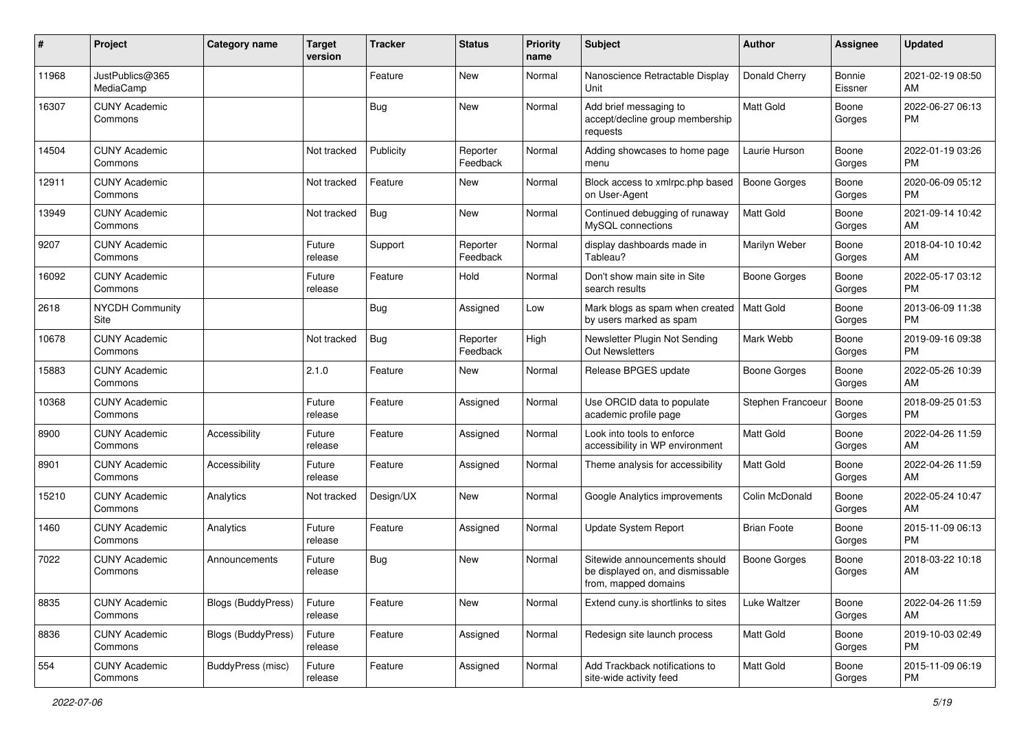| #     | Project                         | <b>Category name</b>      | <b>Target</b><br>version | <b>Tracker</b> | <b>Status</b>        | <b>Priority</b><br>name | <b>Subject</b>                                                                            | Author              | <b>Assignee</b>   | <b>Updated</b>                |
|-------|---------------------------------|---------------------------|--------------------------|----------------|----------------------|-------------------------|-------------------------------------------------------------------------------------------|---------------------|-------------------|-------------------------------|
| 11968 | JustPublics@365<br>MediaCamp    |                           |                          | Feature        | New                  | Normal                  | Nanoscience Retractable Display<br>Unit                                                   | Donald Cherry       | Bonnie<br>Eissner | 2021-02-19 08:50<br>AM        |
| 16307 | <b>CUNY Academic</b><br>Commons |                           |                          | Bug            | New                  | Normal                  | Add brief messaging to<br>accept/decline group membership<br>requests                     | <b>Matt Gold</b>    | Boone<br>Gorges   | 2022-06-27 06:13<br><b>PM</b> |
| 14504 | <b>CUNY Academic</b><br>Commons |                           | Not tracked              | Publicity      | Reporter<br>Feedback | Normal                  | Adding showcases to home page<br>menu                                                     | Laurie Hurson       | Boone<br>Gorges   | 2022-01-19 03:26<br><b>PM</b> |
| 12911 | <b>CUNY Academic</b><br>Commons |                           | Not tracked              | Feature        | New                  | Normal                  | Block access to xmlrpc.php based<br>on User-Agent                                         | <b>Boone Gorges</b> | Boone<br>Gorges   | 2020-06-09 05:12<br><b>PM</b> |
| 13949 | <b>CUNY Academic</b><br>Commons |                           | Not tracked              | Bug            | New                  | Normal                  | Continued debugging of runaway<br>MySQL connections                                       | <b>Matt Gold</b>    | Boone<br>Gorges   | 2021-09-14 10:42<br>AM        |
| 9207  | <b>CUNY Academic</b><br>Commons |                           | Future<br>release        | Support        | Reporter<br>Feedback | Normal                  | display dashboards made in<br>Tableau?                                                    | Marilyn Weber       | Boone<br>Gorges   | 2018-04-10 10:42<br>AM        |
| 16092 | <b>CUNY Academic</b><br>Commons |                           | Future<br>release        | Feature        | Hold                 | Normal                  | Don't show main site in Site<br>search results                                            | <b>Boone Gorges</b> | Boone<br>Gorges   | 2022-05-17 03:12<br><b>PM</b> |
| 2618  | <b>NYCDH Community</b><br>Site  |                           |                          | Bug            | Assigned             | Low                     | Mark blogs as spam when created<br>by users marked as spam                                | Matt Gold           | Boone<br>Gorges   | 2013-06-09 11:38<br><b>PM</b> |
| 10678 | <b>CUNY Academic</b><br>Commons |                           | Not tracked              | Bug            | Reporter<br>Feedback | High                    | Newsletter Plugin Not Sending<br>Out Newsletters                                          | Mark Webb           | Boone<br>Gorges   | 2019-09-16 09:38<br><b>PM</b> |
| 15883 | <b>CUNY Academic</b><br>Commons |                           | 2.1.0                    | Feature        | New                  | Normal                  | Release BPGES update                                                                      | <b>Boone Gorges</b> | Boone<br>Gorges   | 2022-05-26 10:39<br>AM        |
| 10368 | <b>CUNY Academic</b><br>Commons |                           | Future<br>release        | Feature        | Assigned             | Normal                  | Use ORCID data to populate<br>academic profile page                                       | Stephen Francoeur   | Boone<br>Gorges   | 2018-09-25 01:53<br><b>PM</b> |
| 8900  | <b>CUNY Academic</b><br>Commons | Accessibility             | Future<br>release        | Feature        | Assigned             | Normal                  | Look into tools to enforce<br>accessibility in WP environment                             | <b>Matt Gold</b>    | Boone<br>Gorges   | 2022-04-26 11:59<br>AM        |
| 8901  | <b>CUNY Academic</b><br>Commons | Accessibility             | Future<br>release        | Feature        | Assigned             | Normal                  | Theme analysis for accessibility                                                          | Matt Gold           | Boone<br>Gorges   | 2022-04-26 11:59<br>AM        |
| 15210 | <b>CUNY Academic</b><br>Commons | Analytics                 | Not tracked              | Design/UX      | New                  | Normal                  | Google Analytics improvements                                                             | Colin McDonald      | Boone<br>Gorges   | 2022-05-24 10:47<br>AM        |
| 1460  | <b>CUNY Academic</b><br>Commons | Analytics                 | Future<br>release        | Feature        | Assigned             | Normal                  | <b>Update System Report</b>                                                               | <b>Brian Foote</b>  | Boone<br>Gorges   | 2015-11-09 06:13<br><b>PM</b> |
| 7022  | <b>CUNY Academic</b><br>Commons | Announcements             | Future<br>release        | <b>Bug</b>     | New                  | Normal                  | Sitewide announcements should<br>be displayed on, and dismissable<br>from, mapped domains | Boone Gorges        | Boone<br>Gorges   | 2018-03-22 10:18<br>AM        |
| 8835  | <b>CUNY Academic</b><br>Commons | <b>Blogs (BuddyPress)</b> | Future<br>release        | Feature        | New                  | Normal                  | Extend cuny is shortlinks to sites                                                        | Luke Waltzer        | Boone<br>Gorges   | 2022-04-26 11:59<br>AM        |
| 8836  | <b>CUNY Academic</b><br>Commons | Blogs (BuddyPress)        | Future<br>release        | Feature        | Assigned             | Normal                  | Redesign site launch process                                                              | Matt Gold           | Boone<br>Gorges   | 2019-10-03 02:49<br><b>PM</b> |
| 554   | <b>CUNY Academic</b><br>Commons | BuddyPress (misc)         | Future<br>release        | Feature        | Assigned             | Normal                  | Add Trackback notifications to<br>site-wide activity feed                                 | Matt Gold           | Boone<br>Gorges   | 2015-11-09 06:19<br><b>PM</b> |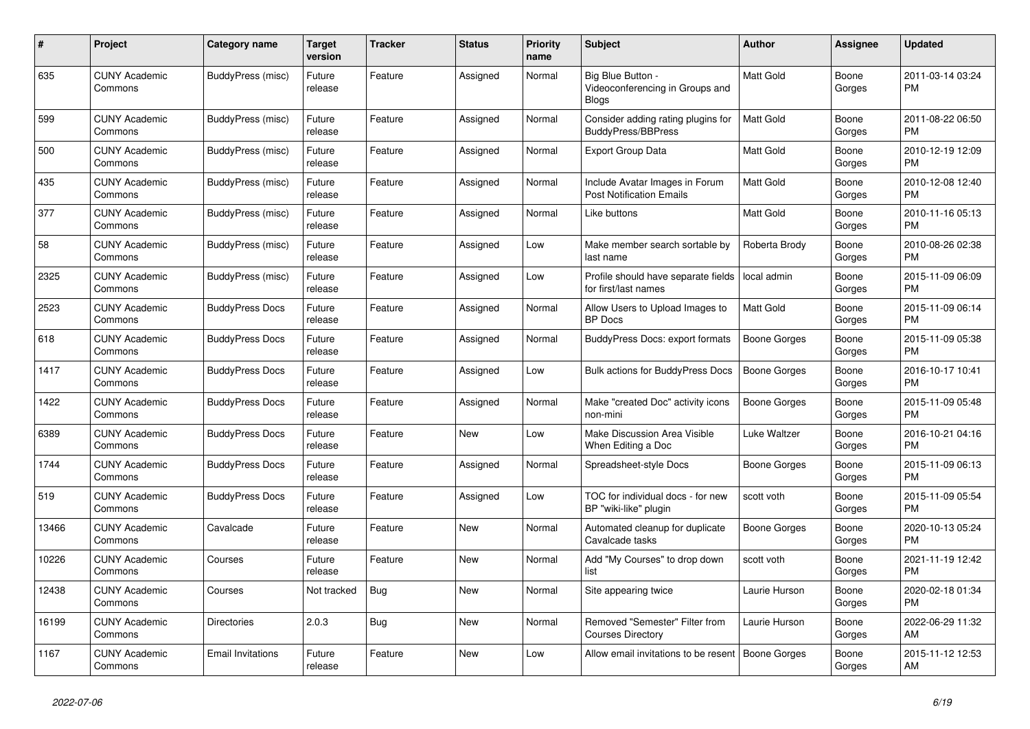| #     | <b>Project</b>                  | <b>Category name</b>     | Target<br>version | <b>Tracker</b> | <b>Status</b> | Priority<br>name | <b>Subject</b>                                                       | <b>Author</b>       | Assignee        | <b>Updated</b>                |
|-------|---------------------------------|--------------------------|-------------------|----------------|---------------|------------------|----------------------------------------------------------------------|---------------------|-----------------|-------------------------------|
| 635   | <b>CUNY Academic</b><br>Commons | BuddyPress (misc)        | Future<br>release | Feature        | Assigned      | Normal           | Big Blue Button -<br>Videoconferencing in Groups and<br><b>Blogs</b> | <b>Matt Gold</b>    | Boone<br>Gorges | 2011-03-14 03:24<br><b>PM</b> |
| 599   | <b>CUNY Academic</b><br>Commons | BuddyPress (misc)        | Future<br>release | Feature        | Assigned      | Normal           | Consider adding rating plugins for<br><b>BuddyPress/BBPress</b>      | <b>Matt Gold</b>    | Boone<br>Gorges | 2011-08-22 06:50<br><b>PM</b> |
| 500   | <b>CUNY Academic</b><br>Commons | BuddyPress (misc)        | Future<br>release | Feature        | Assigned      | Normal           | <b>Export Group Data</b>                                             | Matt Gold           | Boone<br>Gorges | 2010-12-19 12:09<br><b>PM</b> |
| 435   | <b>CUNY Academic</b><br>Commons | BuddyPress (misc)        | Future<br>release | Feature        | Assigned      | Normal           | Include Avatar Images in Forum<br><b>Post Notification Emails</b>    | Matt Gold           | Boone<br>Gorges | 2010-12-08 12:40<br><b>PM</b> |
| 377   | <b>CUNY Academic</b><br>Commons | BuddyPress (misc)        | Future<br>release | Feature        | Assigned      | Normal           | Like buttons                                                         | Matt Gold           | Boone<br>Gorges | 2010-11-16 05:13<br><b>PM</b> |
| 58    | <b>CUNY Academic</b><br>Commons | BuddyPress (misc)        | Future<br>release | Feature        | Assigned      | Low              | Make member search sortable by<br>last name                          | Roberta Brody       | Boone<br>Gorges | 2010-08-26 02:38<br><b>PM</b> |
| 2325  | <b>CUNY Academic</b><br>Commons | BuddyPress (misc)        | Future<br>release | Feature        | Assigned      | Low              | Profile should have separate fields<br>for first/last names          | local admin         | Boone<br>Gorges | 2015-11-09 06:09<br><b>PM</b> |
| 2523  | <b>CUNY Academic</b><br>Commons | <b>BuddyPress Docs</b>   | Future<br>release | Feature        | Assigned      | Normal           | Allow Users to Upload Images to<br><b>BP</b> Docs                    | Matt Gold           | Boone<br>Gorges | 2015-11-09 06:14<br><b>PM</b> |
| 618   | <b>CUNY Academic</b><br>Commons | <b>BuddyPress Docs</b>   | Future<br>release | Feature        | Assigned      | Normal           | BuddyPress Docs: export formats                                      | Boone Gorges        | Boone<br>Gorges | 2015-11-09 05:38<br><b>PM</b> |
| 1417  | <b>CUNY Academic</b><br>Commons | <b>BuddyPress Docs</b>   | Future<br>release | Feature        | Assigned      | Low              | <b>Bulk actions for BuddyPress Docs</b>                              | <b>Boone Gorges</b> | Boone<br>Gorges | 2016-10-17 10:41<br><b>PM</b> |
| 1422  | <b>CUNY Academic</b><br>Commons | <b>BuddyPress Docs</b>   | Future<br>release | Feature        | Assigned      | Normal           | Make "created Doc" activity icons<br>non-mini                        | <b>Boone Gorges</b> | Boone<br>Gorges | 2015-11-09 05:48<br><b>PM</b> |
| 6389  | <b>CUNY Academic</b><br>Commons | <b>BuddyPress Docs</b>   | Future<br>release | Feature        | New           | Low              | Make Discussion Area Visible<br>When Editing a Doc                   | Luke Waltzer        | Boone<br>Gorges | 2016-10-21 04:16<br><b>PM</b> |
| 1744  | <b>CUNY Academic</b><br>Commons | <b>BuddyPress Docs</b>   | Future<br>release | Feature        | Assigned      | Normal           | Spreadsheet-style Docs                                               | Boone Gorges        | Boone<br>Gorges | 2015-11-09 06:13<br><b>PM</b> |
| 519   | <b>CUNY Academic</b><br>Commons | <b>BuddyPress Docs</b>   | Future<br>release | Feature        | Assigned      | Low              | TOC for individual docs - for new<br>BP "wiki-like" plugin           | scott voth          | Boone<br>Gorges | 2015-11-09 05:54<br><b>PM</b> |
| 13466 | <b>CUNY Academic</b><br>Commons | Cavalcade                | Future<br>release | Feature        | <b>New</b>    | Normal           | Automated cleanup for duplicate<br>Cavalcade tasks                   | Boone Gorges        | Boone<br>Gorges | 2020-10-13 05:24<br><b>PM</b> |
| 10226 | <b>CUNY Academic</b><br>Commons | Courses                  | Future<br>release | Feature        | <b>New</b>    | Normal           | Add "My Courses" to drop down<br>list                                | scott voth          | Boone<br>Gorges | 2021-11-19 12:42<br><b>PM</b> |
| 12438 | <b>CUNY Academic</b><br>Commons | Courses                  | Not tracked       | Bug            | <b>New</b>    | Normal           | Site appearing twice                                                 | Laurie Hurson       | Boone<br>Gorges | 2020-02-18 01:34<br><b>PM</b> |
| 16199 | <b>CUNY Academic</b><br>Commons | <b>Directories</b>       | 2.0.3             | <b>Bug</b>     | New           | Normal           | Removed "Semester" Filter from<br><b>Courses Directory</b>           | Laurie Hurson       | Boone<br>Gorges | 2022-06-29 11:32<br>AM        |
| 1167  | <b>CUNY Academic</b><br>Commons | <b>Email Invitations</b> | Future<br>release | Feature        | <b>New</b>    | Low              | Allow email invitations to be resent                                 | Boone Gorges        | Boone<br>Gorges | 2015-11-12 12:53<br>AM        |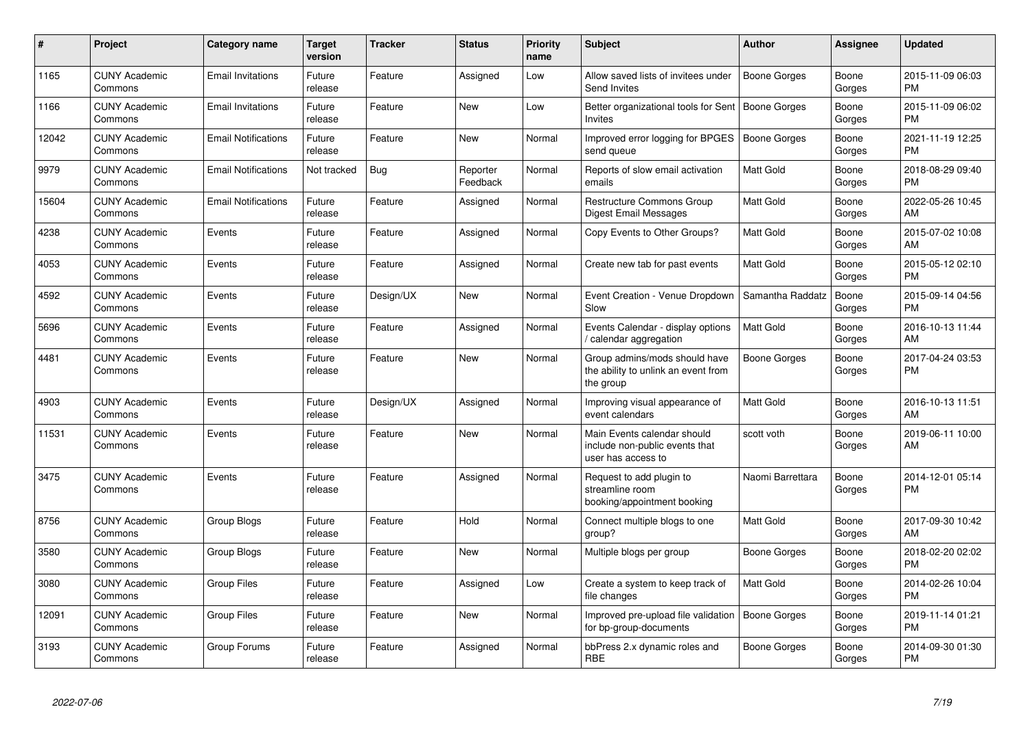| #     | Project                         | <b>Category name</b>       | Target<br>version | <b>Tracker</b> | <b>Status</b>        | <b>Priority</b><br>name | <b>Subject</b>                                                                      | <b>Author</b>       | Assignee        | <b>Updated</b>                |
|-------|---------------------------------|----------------------------|-------------------|----------------|----------------------|-------------------------|-------------------------------------------------------------------------------------|---------------------|-----------------|-------------------------------|
| 1165  | <b>CUNY Academic</b><br>Commons | <b>Email Invitations</b>   | Future<br>release | Feature        | Assigned             | Low                     | Allow saved lists of invitees under<br>Send Invites                                 | Boone Gorges        | Boone<br>Gorges | 2015-11-09 06:03<br><b>PM</b> |
| 1166  | <b>CUNY Academic</b><br>Commons | <b>Email Invitations</b>   | Future<br>release | Feature        | <b>New</b>           | Low                     | Better organizational tools for Sent   Boone Gorges<br>Invites                      |                     | Boone<br>Gorges | 2015-11-09 06:02<br>PM        |
| 12042 | <b>CUNY Academic</b><br>Commons | <b>Email Notifications</b> | Future<br>release | Feature        | New                  | Normal                  | Improved error logging for BPGES<br>send queue                                      | <b>Boone Gorges</b> | Boone<br>Gorges | 2021-11-19 12:25<br><b>PM</b> |
| 9979  | <b>CUNY Academic</b><br>Commons | <b>Email Notifications</b> | Not tracked       | <b>Bug</b>     | Reporter<br>Feedback | Normal                  | Reports of slow email activation<br>emails                                          | Matt Gold           | Boone<br>Gorges | 2018-08-29 09:40<br><b>PM</b> |
| 15604 | <b>CUNY Academic</b><br>Commons | <b>Email Notifications</b> | Future<br>release | Feature        | Assigned             | Normal                  | Restructure Commons Group<br>Digest Email Messages                                  | <b>Matt Gold</b>    | Boone<br>Gorges | 2022-05-26 10:45<br>AM        |
| 4238  | <b>CUNY Academic</b><br>Commons | Events                     | Future<br>release | Feature        | Assigned             | Normal                  | Copy Events to Other Groups?                                                        | <b>Matt Gold</b>    | Boone<br>Gorges | 2015-07-02 10:08<br>AM        |
| 4053  | <b>CUNY Academic</b><br>Commons | Events                     | Future<br>release | Feature        | Assigned             | Normal                  | Create new tab for past events                                                      | Matt Gold           | Boone<br>Gorges | 2015-05-12 02:10<br><b>PM</b> |
| 4592  | <b>CUNY Academic</b><br>Commons | Events                     | Future<br>release | Design/UX      | <b>New</b>           | Normal                  | Event Creation - Venue Dropdown<br>Slow                                             | Samantha Raddatz    | Boone<br>Gorges | 2015-09-14 04:56<br><b>PM</b> |
| 5696  | <b>CUNY Academic</b><br>Commons | Events                     | Future<br>release | Feature        | Assigned             | Normal                  | Events Calendar - display options<br>calendar aggregation                           | Matt Gold           | Boone<br>Gorges | 2016-10-13 11:44<br>AM        |
| 4481  | <b>CUNY Academic</b><br>Commons | Events                     | Future<br>release | Feature        | <b>New</b>           | Normal                  | Group admins/mods should have<br>the ability to unlink an event from<br>the group   | Boone Gorges        | Boone<br>Gorges | 2017-04-24 03:53<br><b>PM</b> |
| 4903  | <b>CUNY Academic</b><br>Commons | Events                     | Future<br>release | Design/UX      | Assigned             | Normal                  | Improving visual appearance of<br>event calendars                                   | <b>Matt Gold</b>    | Boone<br>Gorges | 2016-10-13 11:51<br><b>AM</b> |
| 11531 | <b>CUNY Academic</b><br>Commons | Events                     | Future<br>release | Feature        | <b>New</b>           | Normal                  | Main Events calendar should<br>include non-public events that<br>user has access to | scott voth          | Boone<br>Gorges | 2019-06-11 10:00<br>AM        |
| 3475  | <b>CUNY Academic</b><br>Commons | Events                     | Future<br>release | Feature        | Assigned             | Normal                  | Request to add plugin to<br>streamline room<br>booking/appointment booking          | Naomi Barrettara    | Boone<br>Gorges | 2014-12-01 05:14<br><b>PM</b> |
| 8756  | <b>CUNY Academic</b><br>Commons | Group Blogs                | Future<br>release | Feature        | Hold                 | Normal                  | Connect multiple blogs to one<br>group?                                             | Matt Gold           | Boone<br>Gorges | 2017-09-30 10:42<br>AM        |
| 3580  | <b>CUNY Academic</b><br>Commons | Group Blogs                | Future<br>release | Feature        | <b>New</b>           | Normal                  | Multiple blogs per group                                                            | Boone Gorges        | Boone<br>Gorges | 2018-02-20 02:02<br><b>PM</b> |
| 3080  | <b>CUNY Academic</b><br>Commons | <b>Group Files</b>         | Future<br>release | Feature        | Assigned             | Low                     | Create a system to keep track of<br>file changes                                    | Matt Gold           | Boone<br>Gorges | 2014-02-26 10:04<br><b>PM</b> |
| 12091 | <b>CUNY Academic</b><br>Commons | <b>Group Files</b>         | Future<br>release | Feature        | New                  | Normal                  | Improved pre-upload file validation<br>for bp-group-documents                       | Boone Gorges        | Boone<br>Gorges | 2019-11-14 01:21<br>PM        |
| 3193  | <b>CUNY Academic</b><br>Commons | Group Forums               | Future<br>release | Feature        | Assigned             | Normal                  | bbPress 2.x dynamic roles and<br>RBE                                                | Boone Gorges        | Boone<br>Gorges | 2014-09-30 01:30<br>PM        |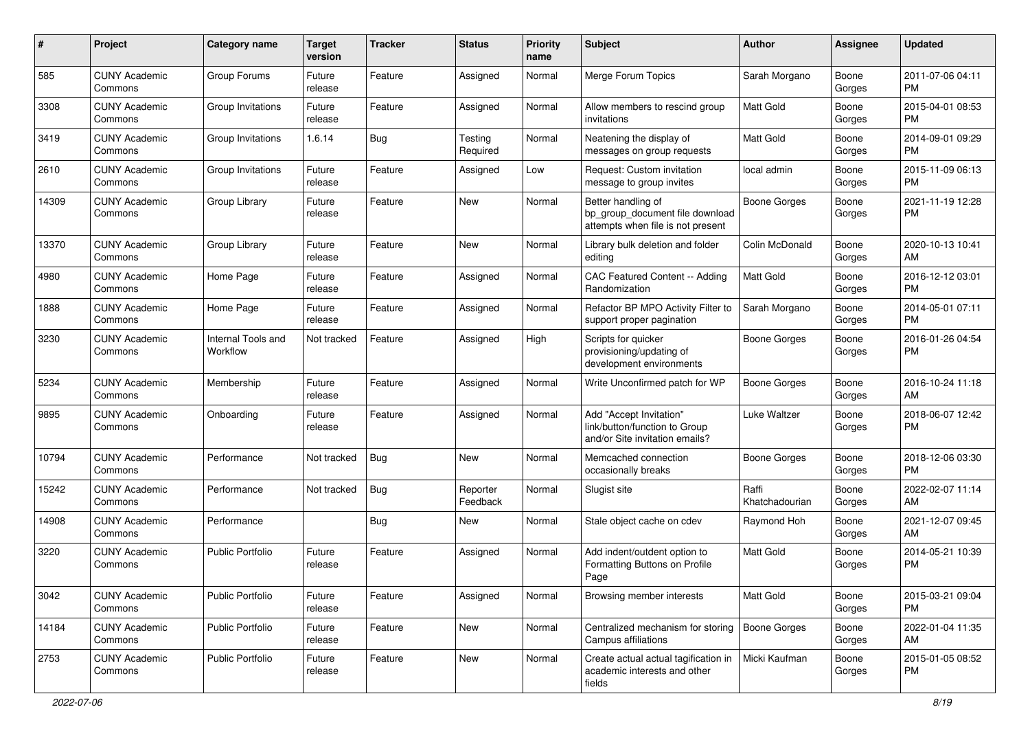| #     | Project                         | <b>Category name</b>           | <b>Target</b><br>version | <b>Tracker</b> | <b>Status</b>        | <b>Priority</b><br>name | <b>Subject</b>                                                                             | Author                  | <b>Assignee</b> | <b>Updated</b>                |
|-------|---------------------------------|--------------------------------|--------------------------|----------------|----------------------|-------------------------|--------------------------------------------------------------------------------------------|-------------------------|-----------------|-------------------------------|
| 585   | <b>CUNY Academic</b><br>Commons | Group Forums                   | Future<br>release        | Feature        | Assigned             | Normal                  | Merge Forum Topics                                                                         | Sarah Morgano           | Boone<br>Gorges | 2011-07-06 04:11<br><b>PM</b> |
| 3308  | <b>CUNY Academic</b><br>Commons | Group Invitations              | Future<br>release        | Feature        | Assigned             | Normal                  | Allow members to rescind group<br>invitations                                              | Matt Gold               | Boone<br>Gorges | 2015-04-01 08:53<br><b>PM</b> |
| 3419  | <b>CUNY Academic</b><br>Commons | Group Invitations              | 1.6.14                   | Bug            | Testing<br>Required  | Normal                  | Neatening the display of<br>messages on group requests                                     | Matt Gold               | Boone<br>Gorges | 2014-09-01 09:29<br><b>PM</b> |
| 2610  | <b>CUNY Academic</b><br>Commons | Group Invitations              | Future<br>release        | Feature        | Assigned             | Low                     | Request: Custom invitation<br>message to group invites                                     | local admin             | Boone<br>Gorges | 2015-11-09 06:13<br>PM.       |
| 14309 | <b>CUNY Academic</b><br>Commons | Group Library                  | Future<br>release        | Feature        | <b>New</b>           | Normal                  | Better handling of<br>bp_group_document file download<br>attempts when file is not present | Boone Gorges            | Boone<br>Gorges | 2021-11-19 12:28<br><b>PM</b> |
| 13370 | <b>CUNY Academic</b><br>Commons | Group Library                  | Future<br>release        | Feature        | <b>New</b>           | Normal                  | Library bulk deletion and folder<br>editing                                                | Colin McDonald          | Boone<br>Gorges | 2020-10-13 10:41<br>AM        |
| 4980  | <b>CUNY Academic</b><br>Commons | Home Page                      | Future<br>release        | Feature        | Assigned             | Normal                  | CAC Featured Content -- Adding<br>Randomization                                            | <b>Matt Gold</b>        | Boone<br>Gorges | 2016-12-12 03:01<br><b>PM</b> |
| 1888  | <b>CUNY Academic</b><br>Commons | Home Page                      | Future<br>release        | Feature        | Assigned             | Normal                  | Refactor BP MPO Activity Filter to<br>support proper pagination                            | Sarah Morgano           | Boone<br>Gorges | 2014-05-01 07:11<br><b>PM</b> |
| 3230  | <b>CUNY Academic</b><br>Commons | Internal Tools and<br>Workflow | Not tracked              | Feature        | Assigned             | High                    | Scripts for quicker<br>provisioning/updating of<br>development environments                | <b>Boone Gorges</b>     | Boone<br>Gorges | 2016-01-26 04:54<br>PM.       |
| 5234  | <b>CUNY Academic</b><br>Commons | Membership                     | Future<br>release        | Feature        | Assigned             | Normal                  | Write Unconfirmed patch for WP                                                             | <b>Boone Gorges</b>     | Boone<br>Gorges | 2016-10-24 11:18<br>AM        |
| 9895  | <b>CUNY Academic</b><br>Commons | Onboarding                     | Future<br>release        | Feature        | Assigned             | Normal                  | Add "Accept Invitation"<br>link/button/function to Group<br>and/or Site invitation emails? | Luke Waltzer            | Boone<br>Gorges | 2018-06-07 12:42<br><b>PM</b> |
| 10794 | <b>CUNY Academic</b><br>Commons | Performance                    | Not tracked              | Bug            | <b>New</b>           | Normal                  | Memcached connection<br>occasionally breaks                                                | <b>Boone Gorges</b>     | Boone<br>Gorges | 2018-12-06 03:30<br><b>PM</b> |
| 15242 | <b>CUNY Academic</b><br>Commons | Performance                    | Not tracked              | Bug            | Reporter<br>Feedback | Normal                  | Slugist site                                                                               | Raffi<br>Khatchadourian | Boone<br>Gorges | 2022-02-07 11:14<br>AM        |
| 14908 | <b>CUNY Academic</b><br>Commons | Performance                    |                          | Bug            | New                  | Normal                  | Stale object cache on cdev                                                                 | Raymond Hoh             | Boone<br>Gorges | 2021-12-07 09:45<br>AM        |
| 3220  | <b>CUNY Academic</b><br>Commons | Public Portfolio               | Future<br>release        | Feature        | Assigned             | Normal                  | Add indent/outdent option to<br>Formatting Buttons on Profile<br>Page                      | <b>Matt Gold</b>        | Boone<br>Gorges | 2014-05-21 10:39<br><b>PM</b> |
| 3042  | <b>CUNY Academic</b><br>Commons | Public Portfolio               | Future<br>release        | Feature        | Assigned             | Normal                  | Browsing member interests                                                                  | Matt Gold               | Boone<br>Gorges | 2015-03-21 09:04<br>PM.       |
| 14184 | <b>CUNY Academic</b><br>Commons | <b>Public Portfolio</b>        | Future<br>release        | Feature        | New                  | Normal                  | Centralized mechanism for storing   Boone Gorges<br>Campus affiliations                    |                         | Boone<br>Gorges | 2022-01-04 11:35<br>AM        |
| 2753  | <b>CUNY Academic</b><br>Commons | Public Portfolio               | Future<br>release        | Feature        | New                  | Normal                  | Create actual actual tagification in<br>academic interests and other<br>fields             | Micki Kaufman           | Boone<br>Gorges | 2015-01-05 08:52<br>PM.       |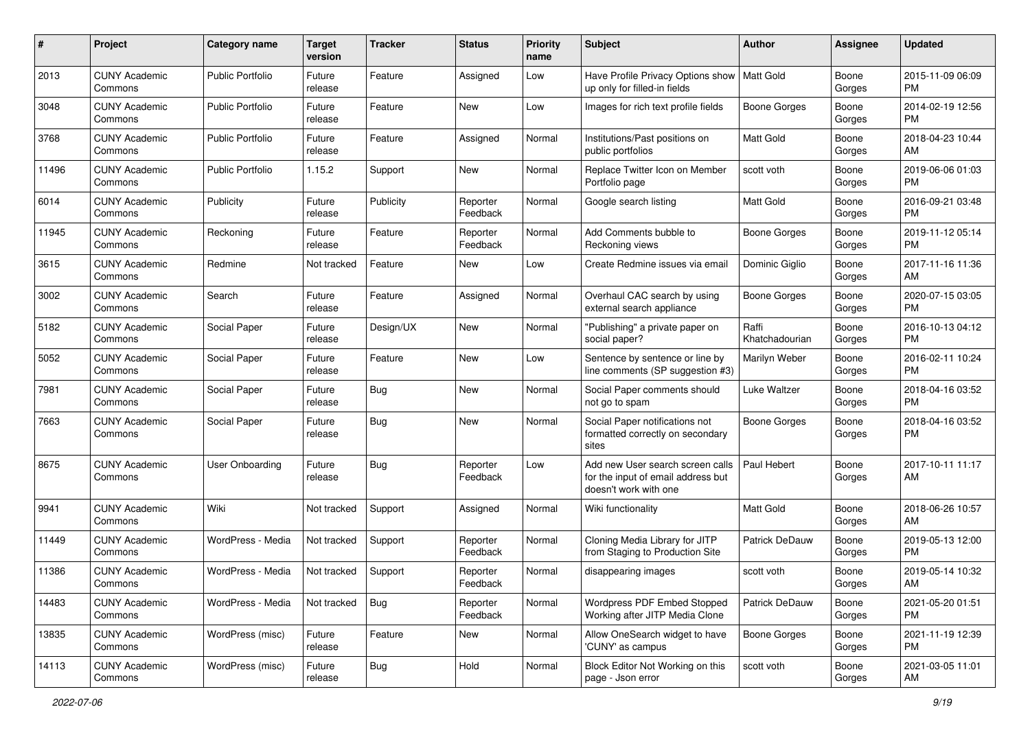| #     | Project                         | <b>Category name</b>    | <b>Target</b><br>version | <b>Tracker</b> | <b>Status</b>        | <b>Priority</b><br>name | Subject                                                                                         | Author                  | Assignee        | <b>Updated</b>                |
|-------|---------------------------------|-------------------------|--------------------------|----------------|----------------------|-------------------------|-------------------------------------------------------------------------------------------------|-------------------------|-----------------|-------------------------------|
| 2013  | <b>CUNY Academic</b><br>Commons | <b>Public Portfolio</b> | Future<br>release        | Feature        | Assigned             | Low                     | Have Profile Privacy Options show   Matt Gold<br>up only for filled-in fields                   |                         | Boone<br>Gorges | 2015-11-09 06:09<br>PM.       |
| 3048  | <b>CUNY Academic</b><br>Commons | <b>Public Portfolio</b> | Future<br>release        | Feature        | New                  | Low                     | Images for rich text profile fields                                                             | Boone Gorges            | Boone<br>Gorges | 2014-02-19 12:56<br><b>PM</b> |
| 3768  | <b>CUNY Academic</b><br>Commons | <b>Public Portfolio</b> | Future<br>release        | Feature        | Assigned             | Normal                  | Institutions/Past positions on<br>public portfolios                                             | Matt Gold               | Boone<br>Gorges | 2018-04-23 10:44<br>AM        |
| 11496 | <b>CUNY Academic</b><br>Commons | <b>Public Portfolio</b> | 1.15.2                   | Support        | New                  | Normal                  | Replace Twitter Icon on Member<br>Portfolio page                                                | scott voth              | Boone<br>Gorges | 2019-06-06 01:03<br>PM.       |
| 6014  | <b>CUNY Academic</b><br>Commons | Publicity               | Future<br>release        | Publicity      | Reporter<br>Feedback | Normal                  | Google search listing                                                                           | Matt Gold               | Boone<br>Gorges | 2016-09-21 03:48<br><b>PM</b> |
| 11945 | <b>CUNY Academic</b><br>Commons | Reckoning               | Future<br>release        | Feature        | Reporter<br>Feedback | Normal                  | Add Comments bubble to<br>Reckoning views                                                       | <b>Boone Gorges</b>     | Boone<br>Gorges | 2019-11-12 05:14<br>PM        |
| 3615  | <b>CUNY Academic</b><br>Commons | Redmine                 | Not tracked              | Feature        | New                  | Low                     | Create Redmine issues via email                                                                 | Dominic Giglio          | Boone<br>Gorges | 2017-11-16 11:36<br>AM.       |
| 3002  | <b>CUNY Academic</b><br>Commons | Search                  | Future<br>release        | Feature        | Assigned             | Normal                  | Overhaul CAC search by using<br>external search appliance                                       | Boone Gorges            | Boone<br>Gorges | 2020-07-15 03:05<br>PM.       |
| 5182  | <b>CUNY Academic</b><br>Commons | Social Paper            | Future<br>release        | Design/UX      | New                  | Normal                  | "Publishing" a private paper on<br>social paper?                                                | Raffi<br>Khatchadourian | Boone<br>Gorges | 2016-10-13 04:12<br><b>PM</b> |
| 5052  | <b>CUNY Academic</b><br>Commons | Social Paper            | Future<br>release        | Feature        | New                  | Low                     | Sentence by sentence or line by<br>line comments (SP suggestion #3)                             | Marilyn Weber           | Boone<br>Gorges | 2016-02-11 10:24<br><b>PM</b> |
| 7981  | <b>CUNY Academic</b><br>Commons | Social Paper            | Future<br>release        | <b>Bug</b>     | New                  | Normal                  | Social Paper comments should<br>not go to spam                                                  | Luke Waltzer            | Boone<br>Gorges | 2018-04-16 03:52<br><b>PM</b> |
| 7663  | <b>CUNY Academic</b><br>Commons | Social Paper            | Future<br>release        | <b>Bug</b>     | New                  | Normal                  | Social Paper notifications not<br>formatted correctly on secondary<br>sites                     | <b>Boone Gorges</b>     | Boone<br>Gorges | 2018-04-16 03:52<br><b>PM</b> |
| 8675  | <b>CUNY Academic</b><br>Commons | User Onboarding         | Future<br>release        | Bug            | Reporter<br>Feedback | Low                     | Add new User search screen calls<br>for the input of email address but<br>doesn't work with one | Paul Hebert             | Boone<br>Gorges | 2017-10-11 11:17<br>AM        |
| 9941  | <b>CUNY Academic</b><br>Commons | Wiki                    | Not tracked              | Support        | Assigned             | Normal                  | Wiki functionality                                                                              | Matt Gold               | Boone<br>Gorges | 2018-06-26 10:57<br>AM        |
| 11449 | <b>CUNY Academic</b><br>Commons | WordPress - Media       | Not tracked              | Support        | Reporter<br>Feedback | Normal                  | Cloning Media Library for JITP<br>from Staging to Production Site                               | Patrick DeDauw          | Boone<br>Gorges | 2019-05-13 12:00<br><b>PM</b> |
| 11386 | <b>CUNY Academic</b><br>Commons | WordPress - Media       | Not tracked              | Support        | Reporter<br>Feedback | Normal                  | disappearing images                                                                             | scott voth              | Boone<br>Gorges | 2019-05-14 10:32<br>AM        |
| 14483 | <b>CUNY Academic</b><br>Commons | WordPress - Media       | Not tracked              | Bug            | Reporter<br>Feedback | Normal                  | Wordpress PDF Embed Stopped<br>Working after JITP Media Clone                                   | Patrick DeDauw          | Boone<br>Gorges | 2021-05-20 01:51<br>PM.       |
| 13835 | <b>CUNY Academic</b><br>Commons | WordPress (misc)        | Future<br>release        | Feature        | New                  | Normal                  | Allow OneSearch widget to have<br>'CUNY' as campus                                              | <b>Boone Gorges</b>     | Boone<br>Gorges | 2021-11-19 12:39<br><b>PM</b> |
| 14113 | <b>CUNY Academic</b><br>Commons | WordPress (misc)        | Future<br>release        | Bug            | Hold                 | Normal                  | Block Editor Not Working on this<br>page - Json error                                           | scott voth              | Boone<br>Gorges | 2021-03-05 11:01<br>AM        |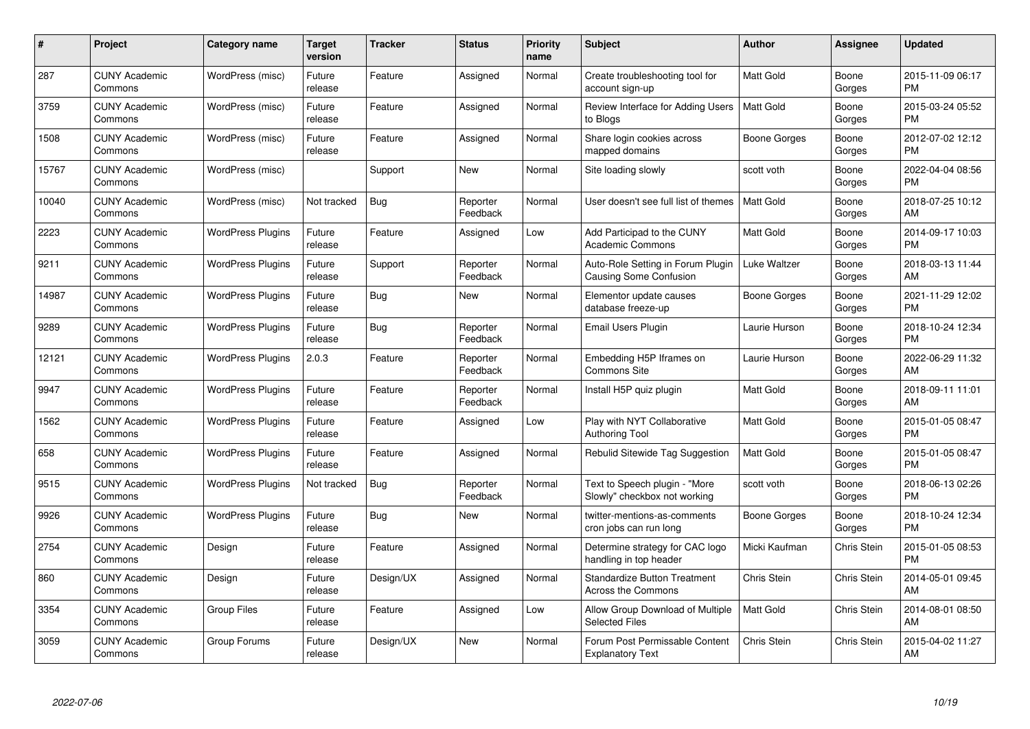| #     | Project                         | <b>Category name</b>     | Target<br>version | <b>Tracker</b> | <b>Status</b>        | <b>Priority</b><br>name | <b>Subject</b>                                                   | <b>Author</b>    | <b>Assignee</b> | <b>Updated</b>                |
|-------|---------------------------------|--------------------------|-------------------|----------------|----------------------|-------------------------|------------------------------------------------------------------|------------------|-----------------|-------------------------------|
| 287   | <b>CUNY Academic</b><br>Commons | WordPress (misc)         | Future<br>release | Feature        | Assigned             | Normal                  | Create troubleshooting tool for<br>account sign-up               | Matt Gold        | Boone<br>Gorges | 2015-11-09 06:17<br><b>PM</b> |
| 3759  | <b>CUNY Academic</b><br>Commons | WordPress (misc)         | Future<br>release | Feature        | Assigned             | Normal                  | Review Interface for Adding Users<br>to Blogs                    | Matt Gold        | Boone<br>Gorges | 2015-03-24 05:52<br><b>PM</b> |
| 1508  | <b>CUNY Academic</b><br>Commons | WordPress (misc)         | Future<br>release | Feature        | Assigned             | Normal                  | Share login cookies across<br>mapped domains                     | Boone Gorges     | Boone<br>Gorges | 2012-07-02 12:12<br><b>PM</b> |
| 15767 | <b>CUNY Academic</b><br>Commons | WordPress (misc)         |                   | Support        | <b>New</b>           | Normal                  | Site loading slowly                                              | scott voth       | Boone<br>Gorges | 2022-04-04 08:56<br><b>PM</b> |
| 10040 | <b>CUNY Academic</b><br>Commons | WordPress (misc)         | Not tracked       | <b>Bug</b>     | Reporter<br>Feedback | Normal                  | User doesn't see full list of themes                             | l Matt Gold      | Boone<br>Gorges | 2018-07-25 10:12<br>AM        |
| 2223  | <b>CUNY Academic</b><br>Commons | <b>WordPress Plugins</b> | Future<br>release | Feature        | Assigned             | Low                     | Add Participad to the CUNY<br><b>Academic Commons</b>            | Matt Gold        | Boone<br>Gorges | 2014-09-17 10:03<br><b>PM</b> |
| 9211  | <b>CUNY Academic</b><br>Commons | <b>WordPress Plugins</b> | Future<br>release | Support        | Reporter<br>Feedback | Normal                  | Auto-Role Setting in Forum Plugin<br>Causing Some Confusion      | Luke Waltzer     | Boone<br>Gorges | 2018-03-13 11:44<br>AM        |
| 14987 | <b>CUNY Academic</b><br>Commons | <b>WordPress Plugins</b> | Future<br>release | Bug            | <b>New</b>           | Normal                  | Elementor update causes<br>database freeze-up                    | Boone Gorges     | Boone<br>Gorges | 2021-11-29 12:02<br><b>PM</b> |
| 9289  | <b>CUNY Academic</b><br>Commons | <b>WordPress Plugins</b> | Future<br>release | Bug            | Reporter<br>Feedback | Normal                  | Email Users Plugin                                               | Laurie Hurson    | Boone<br>Gorges | 2018-10-24 12:34<br><b>PM</b> |
| 12121 | <b>CUNY Academic</b><br>Commons | <b>WordPress Plugins</b> | 2.0.3             | Feature        | Reporter<br>Feedback | Normal                  | Embedding H5P Iframes on<br>Commons Site                         | Laurie Hurson    | Boone<br>Gorges | 2022-06-29 11:32<br>AM        |
| 9947  | <b>CUNY Academic</b><br>Commons | <b>WordPress Plugins</b> | Future<br>release | Feature        | Reporter<br>Feedback | Normal                  | Install H5P quiz plugin                                          | Matt Gold        | Boone<br>Gorges | 2018-09-11 11:01<br>AM        |
| 1562  | <b>CUNY Academic</b><br>Commons | <b>WordPress Plugins</b> | Future<br>release | Feature        | Assigned             | Low                     | Play with NYT Collaborative<br><b>Authoring Tool</b>             | Matt Gold        | Boone<br>Gorges | 2015-01-05 08:47<br><b>PM</b> |
| 658   | <b>CUNY Academic</b><br>Commons | <b>WordPress Plugins</b> | Future<br>release | Feature        | Assigned             | Normal                  | Rebulid Sitewide Tag Suggestion                                  | <b>Matt Gold</b> | Boone<br>Gorges | 2015-01-05 08:47<br>PM        |
| 9515  | <b>CUNY Academic</b><br>Commons | <b>WordPress Plugins</b> | Not tracked       | Bug            | Reporter<br>Feedback | Normal                  | Text to Speech plugin - "More<br>Slowly" checkbox not working    | scott voth       | Boone<br>Gorges | 2018-06-13 02:26<br><b>PM</b> |
| 9926  | <b>CUNY Academic</b><br>Commons | <b>WordPress Plugins</b> | Future<br>release | <b>Bug</b>     | New                  | Normal                  | twitter-mentions-as-comments<br>cron jobs can run long           | Boone Gorges     | Boone<br>Gorges | 2018-10-24 12:34<br><b>PM</b> |
| 2754  | <b>CUNY Academic</b><br>Commons | Design                   | Future<br>release | Feature        | Assigned             | Normal                  | Determine strategy for CAC logo<br>handling in top header        | Micki Kaufman    | Chris Stein     | 2015-01-05 08:53<br><b>PM</b> |
| 860   | <b>CUNY Academic</b><br>Commons | Design                   | Future<br>release | Design/UX      | Assigned             | Normal                  | <b>Standardize Button Treatment</b><br><b>Across the Commons</b> | Chris Stein      | Chris Stein     | 2014-05-01 09:45<br>AM        |
| 3354  | <b>CUNY Academic</b><br>Commons | Group Files              | Future<br>release | Feature        | Assigned             | Low                     | Allow Group Download of Multiple<br><b>Selected Files</b>        | Matt Gold        | Chris Stein     | 2014-08-01 08:50<br>AM        |
| 3059  | <b>CUNY Academic</b><br>Commons | Group Forums             | Future<br>release | Design/UX      | <b>New</b>           | Normal                  | Forum Post Permissable Content<br><b>Explanatory Text</b>        | Chris Stein      | Chris Stein     | 2015-04-02 11:27<br>AM        |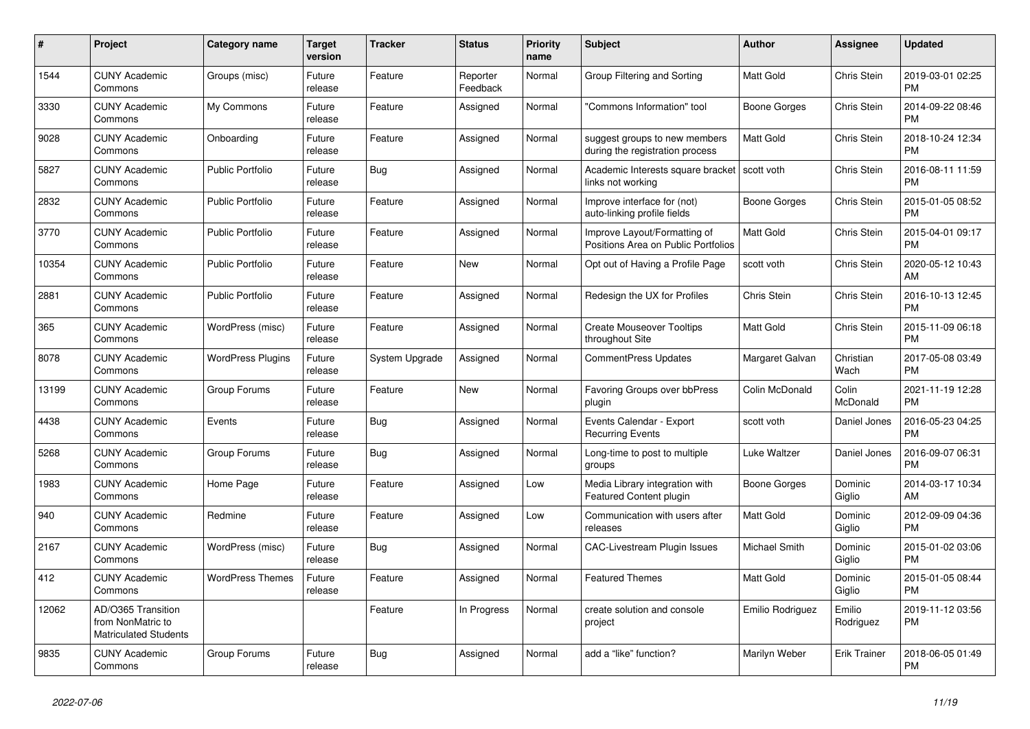| $\pmb{\#}$ | <b>Project</b>                                                          | <b>Category name</b>     | <b>Target</b><br>version | <b>Tracker</b> | <b>Status</b>        | Priority<br>name | <b>Subject</b>                                                      | <b>Author</b>    | Assignee            | <b>Updated</b>                |
|------------|-------------------------------------------------------------------------|--------------------------|--------------------------|----------------|----------------------|------------------|---------------------------------------------------------------------|------------------|---------------------|-------------------------------|
| 1544       | <b>CUNY Academic</b><br>Commons                                         | Groups (misc)            | Future<br>release        | Feature        | Reporter<br>Feedback | Normal           | Group Filtering and Sorting                                         | <b>Matt Gold</b> | Chris Stein         | 2019-03-01 02:25<br><b>PM</b> |
| 3330       | <b>CUNY Academic</b><br>Commons                                         | My Commons               | Future<br>release        | Feature        | Assigned             | Normal           | "Commons Information" tool                                          | Boone Gorges     | Chris Stein         | 2014-09-22 08:46<br><b>PM</b> |
| 9028       | <b>CUNY Academic</b><br>Commons                                         | Onboarding               | Future<br>release        | Feature        | Assigned             | Normal           | suggest groups to new members<br>during the registration process    | <b>Matt Gold</b> | Chris Stein         | 2018-10-24 12:34<br><b>PM</b> |
| 5827       | <b>CUNY Academic</b><br>Commons                                         | <b>Public Portfolio</b>  | Future<br>release        | Bug            | Assigned             | Normal           | Academic Interests square bracket<br>links not working              | scott voth       | Chris Stein         | 2016-08-11 11:59<br><b>PM</b> |
| 2832       | <b>CUNY Academic</b><br>Commons                                         | <b>Public Portfolio</b>  | Future<br>release        | Feature        | Assigned             | Normal           | Improve interface for (not)<br>auto-linking profile fields          | Boone Gorges     | Chris Stein         | 2015-01-05 08:52<br><b>PM</b> |
| 3770       | <b>CUNY Academic</b><br>Commons                                         | <b>Public Portfolio</b>  | Future<br>release        | Feature        | Assigned             | Normal           | Improve Layout/Formatting of<br>Positions Area on Public Portfolios | Matt Gold        | Chris Stein         | 2015-04-01 09:17<br><b>PM</b> |
| 10354      | <b>CUNY Academic</b><br>Commons                                         | <b>Public Portfolio</b>  | Future<br>release        | Feature        | <b>New</b>           | Normal           | Opt out of Having a Profile Page                                    | scott voth       | <b>Chris Stein</b>  | 2020-05-12 10:43<br>AM        |
| 2881       | <b>CUNY Academic</b><br>Commons                                         | <b>Public Portfolio</b>  | Future<br>release        | Feature        | Assigned             | Normal           | Redesign the UX for Profiles                                        | Chris Stein      | Chris Stein         | 2016-10-13 12:45<br><b>PM</b> |
| 365        | <b>CUNY Academic</b><br>Commons                                         | WordPress (misc)         | Future<br>release        | Feature        | Assigned             | Normal           | <b>Create Mouseover Tooltips</b><br>throughout Site                 | <b>Matt Gold</b> | Chris Stein         | 2015-11-09 06:18<br><b>PM</b> |
| 8078       | <b>CUNY Academic</b><br>Commons                                         | <b>WordPress Plugins</b> | Future<br>release        | System Upgrade | Assigned             | Normal           | <b>CommentPress Updates</b>                                         | Margaret Galvan  | Christian<br>Wach   | 2017-05-08 03:49<br><b>PM</b> |
| 13199      | <b>CUNY Academic</b><br>Commons                                         | Group Forums             | Future<br>release        | Feature        | New                  | Normal           | <b>Favoring Groups over bbPress</b><br>plugin                       | Colin McDonald   | Colin<br>McDonald   | 2021-11-19 12:28<br><b>PM</b> |
| 4438       | <b>CUNY Academic</b><br>Commons                                         | Events                   | Future<br>release        | Bug            | Assigned             | Normal           | Events Calendar - Export<br><b>Recurring Events</b>                 | scott voth       | Daniel Jones        | 2016-05-23 04:25<br><b>PM</b> |
| 5268       | <b>CUNY Academic</b><br>Commons                                         | Group Forums             | Future<br>release        | <b>Bug</b>     | Assigned             | Normal           | Long-time to post to multiple<br>groups                             | Luke Waltzer     | Daniel Jones        | 2016-09-07 06:31<br><b>PM</b> |
| 1983       | <b>CUNY Academic</b><br>Commons                                         | Home Page                | Future<br>release        | Feature        | Assigned             | Low              | Media Library integration with<br><b>Featured Content plugin</b>    | Boone Gorges     | Dominic<br>Giglio   | 2014-03-17 10:34<br>AM        |
| 940        | <b>CUNY Academic</b><br>Commons                                         | Redmine                  | Future<br>release        | Feature        | Assigned             | Low              | Communication with users after<br>releases                          | Matt Gold        | Dominic<br>Giglio   | 2012-09-09 04:36<br><b>PM</b> |
| 2167       | <b>CUNY Academic</b><br>Commons                                         | WordPress (misc)         | Future<br>release        | <b>Bug</b>     | Assigned             | Normal           | CAC-Livestream Plugin Issues                                        | Michael Smith    | Dominic<br>Giglio   | 2015-01-02 03:06<br><b>PM</b> |
| 412        | <b>CUNY Academic</b><br>Commons                                         | <b>WordPress Themes</b>  | Future<br>release        | Feature        | Assigned             | Normal           | <b>Featured Themes</b>                                              | Matt Gold        | Dominic<br>Giglio   | 2015-01-05 08:44<br><b>PM</b> |
| 12062      | AD/O365 Transition<br>from NonMatric to<br><b>Matriculated Students</b> |                          |                          | Feature        | In Progress          | Normal           | create solution and console<br>project                              | Emilio Rodriguez | Emilio<br>Rodriguez | 2019-11-12 03:56<br><b>PM</b> |
| 9835       | <b>CUNY Academic</b><br>Commons                                         | Group Forums             | Future<br>release        | Bug            | Assigned             | Normal           | add a "like" function?                                              | Marilyn Weber    | <b>Erik Trainer</b> | 2018-06-05 01:49<br><b>PM</b> |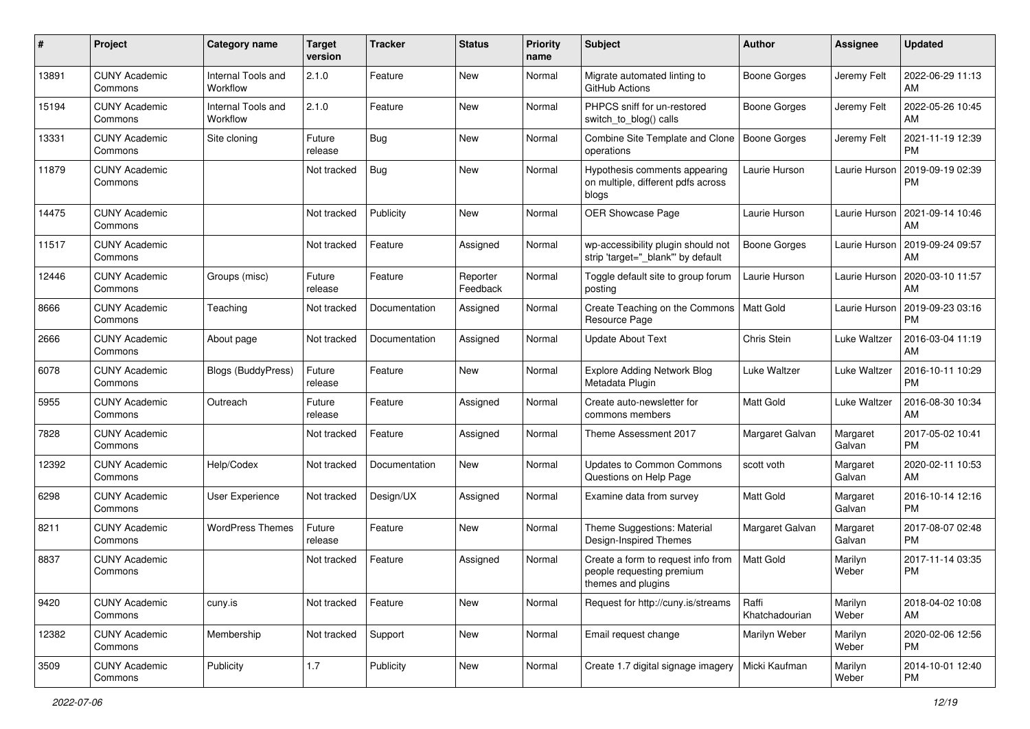| #     | Project                         | <b>Category name</b>           | <b>Target</b><br>version | <b>Tracker</b> | <b>Status</b>        | <b>Priority</b><br>name | Subject                                                                               | Author                  | <b>Assignee</b>    | <b>Updated</b>                |
|-------|---------------------------------|--------------------------------|--------------------------|----------------|----------------------|-------------------------|---------------------------------------------------------------------------------------|-------------------------|--------------------|-------------------------------|
| 13891 | <b>CUNY Academic</b><br>Commons | Internal Tools and<br>Workflow | 2.1.0                    | Feature        | <b>New</b>           | Normal                  | Migrate automated linting to<br>GitHub Actions                                        | Boone Gorges            | Jeremy Felt        | 2022-06-29 11:13<br>AM        |
| 15194 | <b>CUNY Academic</b><br>Commons | Internal Tools and<br>Workflow | 2.1.0                    | Feature        | New                  | Normal                  | PHPCS sniff for un-restored<br>switch_to_blog() calls                                 | <b>Boone Gorges</b>     | Jeremy Felt        | 2022-05-26 10:45<br>AM        |
| 13331 | <b>CUNY Academic</b><br>Commons | Site cloning                   | Future<br>release        | <b>Bug</b>     | <b>New</b>           | Normal                  | Combine Site Template and Clone<br>operations                                         | <b>Boone Gorges</b>     | Jeremy Felt        | 2021-11-19 12:39<br><b>PM</b> |
| 11879 | <b>CUNY Academic</b><br>Commons |                                | Not tracked              | Bug            | <b>New</b>           | Normal                  | Hypothesis comments appearing<br>on multiple, different pdfs across<br>blogs          | Laurie Hurson           | Laurie Hurson      | 2019-09-19 02:39<br><b>PM</b> |
| 14475 | <b>CUNY Academic</b><br>Commons |                                | Not tracked              | Publicity      | <b>New</b>           | Normal                  | OER Showcase Page                                                                     | Laurie Hurson           | Laurie Hurson      | 2021-09-14 10:46<br>AM        |
| 11517 | <b>CUNY Academic</b><br>Commons |                                | Not tracked              | Feature        | Assigned             | Normal                  | wp-accessibility plugin should not<br>strip 'target="_blank"' by default              | <b>Boone Gorges</b>     | Laurie Hurson      | 2019-09-24 09:57<br>AM        |
| 12446 | <b>CUNY Academic</b><br>Commons | Groups (misc)                  | Future<br>release        | Feature        | Reporter<br>Feedback | Normal                  | Toggle default site to group forum<br>posting                                         | Laurie Hurson           | Laurie Hurson      | 2020-03-10 11:57<br>AM        |
| 8666  | <b>CUNY Academic</b><br>Commons | Teaching                       | Not tracked              | Documentation  | Assigned             | Normal                  | Create Teaching on the Commons<br>Resource Page                                       | Matt Gold               | Laurie Hurson      | 2019-09-23 03:16<br><b>PM</b> |
| 2666  | <b>CUNY Academic</b><br>Commons | About page                     | Not tracked              | Documentation  | Assigned             | Normal                  | <b>Update About Text</b>                                                              | Chris Stein             | Luke Waltzer       | 2016-03-04 11:19<br>AM        |
| 6078  | <b>CUNY Academic</b><br>Commons | Blogs (BuddyPress)             | Future<br>release        | Feature        | New                  | Normal                  | <b>Explore Adding Network Blog</b><br>Metadata Plugin                                 | Luke Waltzer            | Luke Waltzer       | 2016-10-11 10:29<br><b>PM</b> |
| 5955  | <b>CUNY Academic</b><br>Commons | Outreach                       | Future<br>release        | Feature        | Assigned             | Normal                  | Create auto-newsletter for<br>commons members                                         | Matt Gold               | Luke Waltzer       | 2016-08-30 10:34<br>AM        |
| 7828  | <b>CUNY Academic</b><br>Commons |                                | Not tracked              | Feature        | Assigned             | Normal                  | Theme Assessment 2017                                                                 | Margaret Galvan         | Margaret<br>Galvan | 2017-05-02 10:41<br><b>PM</b> |
| 12392 | <b>CUNY Academic</b><br>Commons | Help/Codex                     | Not tracked              | Documentation  | <b>New</b>           | Normal                  | <b>Updates to Common Commons</b><br>Questions on Help Page                            | scott voth              | Margaret<br>Galvan | 2020-02-11 10:53<br>AM        |
| 6298  | <b>CUNY Academic</b><br>Commons | <b>User Experience</b>         | Not tracked              | Design/UX      | Assigned             | Normal                  | Examine data from survey                                                              | <b>Matt Gold</b>        | Margaret<br>Galvan | 2016-10-14 12:16<br><b>PM</b> |
| 8211  | <b>CUNY Academic</b><br>Commons | <b>WordPress Themes</b>        | Future<br>release        | Feature        | <b>New</b>           | Normal                  | Theme Suggestions: Material<br>Design-Inspired Themes                                 | Margaret Galvan         | Margaret<br>Galvan | 2017-08-07 02:48<br><b>PM</b> |
| 8837  | <b>CUNY Academic</b><br>Commons |                                | Not tracked              | Feature        | Assigned             | Normal                  | Create a form to request info from<br>people requesting premium<br>themes and plugins | <b>Matt Gold</b>        | Marilyn<br>Weber   | 2017-11-14 03:35<br><b>PM</b> |
| 9420  | <b>CUNY Academic</b><br>Commons | cuny.is                        | Not tracked              | Feature        | New                  | Normal                  | Request for http://cuny.is/streams                                                    | Raffi<br>Khatchadourian | Marilyn<br>Weber   | 2018-04-02 10:08<br>AM        |
| 12382 | <b>CUNY Academic</b><br>Commons | Membership                     | Not tracked              | Support        | New                  | Normal                  | Email request change                                                                  | Marilyn Weber           | Marilyn<br>Weber   | 2020-02-06 12:56<br><b>PM</b> |
| 3509  | <b>CUNY Academic</b><br>Commons | Publicity                      | $1.7\,$                  | Publicity      | New                  | Normal                  | Create 1.7 digital signage imagery                                                    | Micki Kaufman           | Marilyn<br>Weber   | 2014-10-01 12:40<br><b>PM</b> |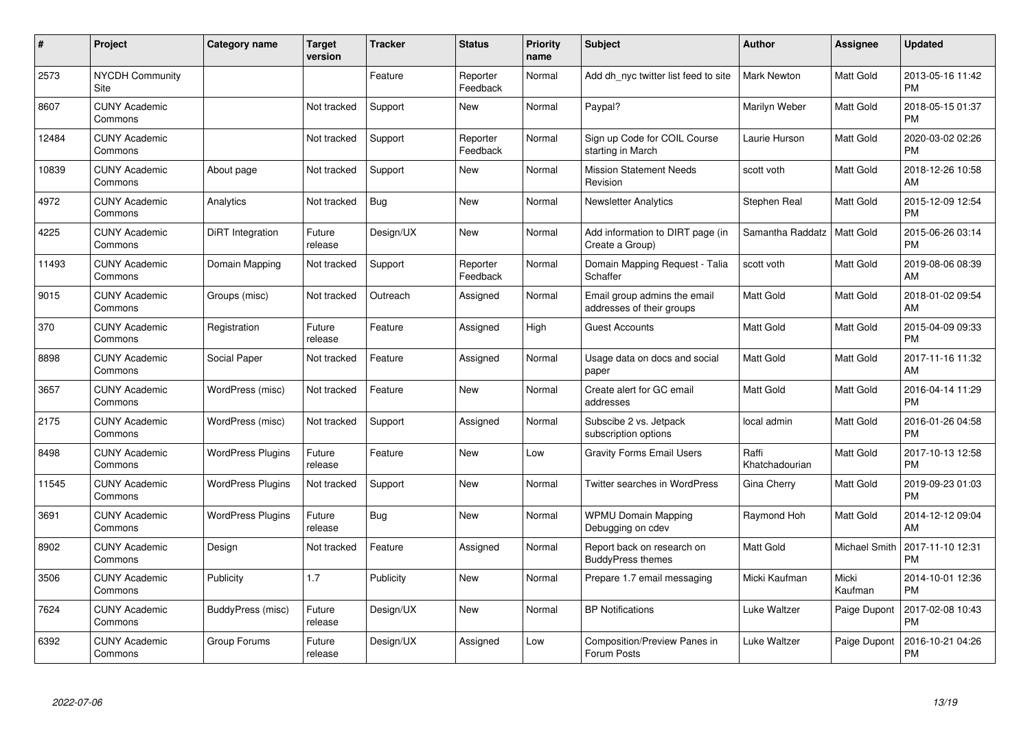| #     | Project                         | <b>Category name</b>     | <b>Target</b><br>version | <b>Tracker</b> | <b>Status</b>        | Priority<br>name | <b>Subject</b>                                            | <b>Author</b>           | <b>Assignee</b>  | <b>Updated</b>                |
|-------|---------------------------------|--------------------------|--------------------------|----------------|----------------------|------------------|-----------------------------------------------------------|-------------------------|------------------|-------------------------------|
| 2573  | <b>NYCDH Community</b><br>Site  |                          |                          | Feature        | Reporter<br>Feedback | Normal           | Add dh nyc twitter list feed to site                      | <b>Mark Newton</b>      | Matt Gold        | 2013-05-16 11:42<br><b>PM</b> |
| 8607  | <b>CUNY Academic</b><br>Commons |                          | Not tracked              | Support        | New                  | Normal           | Paypal?                                                   | Marilyn Weber           | Matt Gold        | 2018-05-15 01:37<br><b>PM</b> |
| 12484 | <b>CUNY Academic</b><br>Commons |                          | Not tracked              | Support        | Reporter<br>Feedback | Normal           | Sign up Code for COIL Course<br>starting in March         | Laurie Hurson           | Matt Gold        | 2020-03-02 02:26<br><b>PM</b> |
| 10839 | <b>CUNY Academic</b><br>Commons | About page               | Not tracked              | Support        | New                  | Normal           | <b>Mission Statement Needs</b><br>Revision                | scott voth              | Matt Gold        | 2018-12-26 10:58<br>AM        |
| 4972  | <b>CUNY Academic</b><br>Commons | Analytics                | Not tracked              | <b>Bug</b>     | <b>New</b>           | Normal           | <b>Newsletter Analytics</b>                               | Stephen Real            | Matt Gold        | 2015-12-09 12:54<br><b>PM</b> |
| 4225  | <b>CUNY Academic</b><br>Commons | <b>DiRT</b> Integration  | Future<br>release        | Design/UX      | <b>New</b>           | Normal           | Add information to DIRT page (in<br>Create a Group)       | Samantha Raddatz        | Matt Gold        | 2015-06-26 03:14<br><b>PM</b> |
| 11493 | <b>CUNY Academic</b><br>Commons | Domain Mapping           | Not tracked              | Support        | Reporter<br>Feedback | Normal           | Domain Mapping Request - Talia<br>Schaffer                | scott voth              | Matt Gold        | 2019-08-06 08:39<br>AM        |
| 9015  | <b>CUNY Academic</b><br>Commons | Groups (misc)            | Not tracked              | Outreach       | Assigned             | Normal           | Email group admins the email<br>addresses of their groups | Matt Gold               | Matt Gold        | 2018-01-02 09:54<br>AM        |
| 370   | <b>CUNY Academic</b><br>Commons | Registration             | Future<br>release        | Feature        | Assigned             | High             | <b>Guest Accounts</b>                                     | <b>Matt Gold</b>        | Matt Gold        | 2015-04-09 09:33<br><b>PM</b> |
| 8898  | <b>CUNY Academic</b><br>Commons | Social Paper             | Not tracked              | Feature        | Assigned             | Normal           | Usage data on docs and social<br>paper                    | <b>Matt Gold</b>        | Matt Gold        | 2017-11-16 11:32<br>AM        |
| 3657  | <b>CUNY Academic</b><br>Commons | WordPress (misc)         | Not tracked              | Feature        | New                  | Normal           | Create alert for GC email<br>addresses                    | <b>Matt Gold</b>        | Matt Gold        | 2016-04-14 11:29<br><b>PM</b> |
| 2175  | <b>CUNY Academic</b><br>Commons | WordPress (misc)         | Not tracked              | Support        | Assigned             | Normal           | Subscibe 2 vs. Jetpack<br>subscription options            | local admin             | Matt Gold        | 2016-01-26 04:58<br><b>PM</b> |
| 8498  | <b>CUNY Academic</b><br>Commons | <b>WordPress Plugins</b> | Future<br>release        | Feature        | New                  | Low              | <b>Gravity Forms Email Users</b>                          | Raffi<br>Khatchadourian | Matt Gold        | 2017-10-13 12:58<br><b>PM</b> |
| 11545 | <b>CUNY Academic</b><br>Commons | <b>WordPress Plugins</b> | Not tracked              | Support        | New                  | Normal           | Twitter searches in WordPress                             | Gina Cherry             | Matt Gold        | 2019-09-23 01:03<br><b>PM</b> |
| 3691  | <b>CUNY Academic</b><br>Commons | <b>WordPress Plugins</b> | Future<br>release        | Bug            | New                  | Normal           | <b>WPMU Domain Mapping</b><br>Debugging on cdev           | Raymond Hoh             | Matt Gold        | 2014-12-12 09:04<br>AM        |
| 8902  | <b>CUNY Academic</b><br>Commons | Design                   | Not tracked              | Feature        | Assigned             | Normal           | Report back on research on<br><b>BuddyPress themes</b>    | <b>Matt Gold</b>        | Michael Smith    | 2017-11-10 12:31<br><b>PM</b> |
| 3506  | <b>CUNY Academic</b><br>Commons | Publicity                | 1.7                      | Publicity      | New                  | Normal           | Prepare 1.7 email messaging                               | Micki Kaufman           | Micki<br>Kaufman | 2014-10-01 12:36<br><b>PM</b> |
| 7624  | <b>CUNY Academic</b><br>Commons | BuddyPress (misc)        | Future<br>release        | Design/UX      | New                  | Normal           | <b>BP Notifications</b>                                   | Luke Waltzer            | Paige Dupont     | 2017-02-08 10:43<br><b>PM</b> |
| 6392  | <b>CUNY Academic</b><br>Commons | Group Forums             | Future<br>release        | Design/UX      | Assigned             | Low              | Composition/Preview Panes in<br>Forum Posts               | Luke Waltzer            | Paige Dupont     | 2016-10-21 04:26<br><b>PM</b> |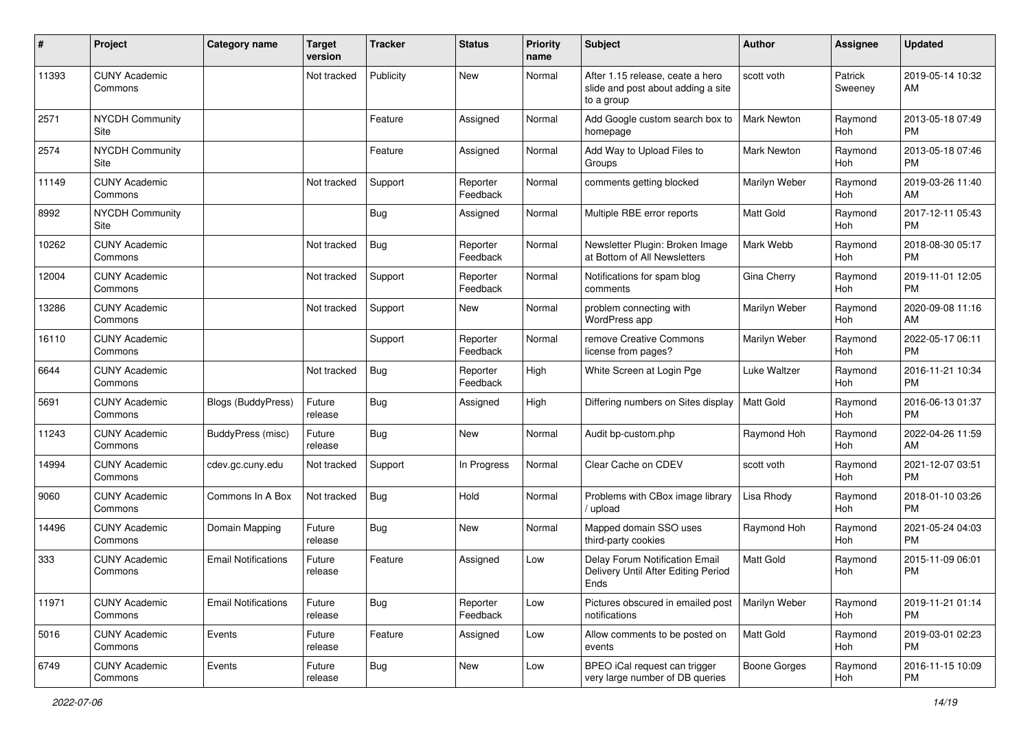| $\pmb{\#}$ | Project                         | <b>Category name</b>       | <b>Target</b><br>version | <b>Tracker</b> | <b>Status</b>        | <b>Priority</b><br>name | <b>Subject</b>                                                                       | Author             | <b>Assignee</b>    | <b>Updated</b>                |
|------------|---------------------------------|----------------------------|--------------------------|----------------|----------------------|-------------------------|--------------------------------------------------------------------------------------|--------------------|--------------------|-------------------------------|
| 11393      | <b>CUNY Academic</b><br>Commons |                            | Not tracked              | Publicity      | <b>New</b>           | Normal                  | After 1.15 release, ceate a hero<br>slide and post about adding a site<br>to a group | scott voth         | Patrick<br>Sweeney | 2019-05-14 10:32<br>AM        |
| 2571       | <b>NYCDH Community</b><br>Site  |                            |                          | Feature        | Assigned             | Normal                  | Add Google custom search box to<br>homepage                                          | <b>Mark Newton</b> | Raymond<br>Hoh     | 2013-05-18 07:49<br>PM        |
| 2574       | NYCDH Community<br>Site         |                            |                          | Feature        | Assigned             | Normal                  | Add Way to Upload Files to<br>Groups                                                 | Mark Newton        | Raymond<br>Hoh     | 2013-05-18 07:46<br><b>PM</b> |
| 11149      | <b>CUNY Academic</b><br>Commons |                            | Not tracked              | Support        | Reporter<br>Feedback | Normal                  | comments getting blocked                                                             | Marilyn Weber      | Raymond<br>Hoh     | 2019-03-26 11:40<br>AM        |
| 8992       | <b>NYCDH Community</b><br>Site  |                            |                          | Bug            | Assigned             | Normal                  | Multiple RBE error reports                                                           | <b>Matt Gold</b>   | Raymond<br>Hoh     | 2017-12-11 05:43<br><b>PM</b> |
| 10262      | <b>CUNY Academic</b><br>Commons |                            | Not tracked              | <b>Bug</b>     | Reporter<br>Feedback | Normal                  | Newsletter Plugin: Broken Image<br>at Bottom of All Newsletters                      | Mark Webb          | Raymond<br>Hoh     | 2018-08-30 05:17<br><b>PM</b> |
| 12004      | <b>CUNY Academic</b><br>Commons |                            | Not tracked              | Support        | Reporter<br>Feedback | Normal                  | Notifications for spam blog<br>comments                                              | Gina Cherry        | Raymond<br>Hoh     | 2019-11-01 12:05<br><b>PM</b> |
| 13286      | <b>CUNY Academic</b><br>Commons |                            | Not tracked              | Support        | New                  | Normal                  | problem connecting with<br>WordPress app                                             | Marilyn Weber      | Raymond<br>Hoh     | 2020-09-08 11:16<br>AM        |
| 16110      | <b>CUNY Academic</b><br>Commons |                            |                          | Support        | Reporter<br>Feedback | Normal                  | remove Creative Commons<br>license from pages?                                       | Marilyn Weber      | Raymond<br>Hoh     | 2022-05-17 06:11<br>PM        |
| 6644       | <b>CUNY Academic</b><br>Commons |                            | Not tracked              | <b>Bug</b>     | Reporter<br>Feedback | High                    | White Screen at Login Pge                                                            | Luke Waltzer       | Raymond<br>Hoh     | 2016-11-21 10:34<br><b>PM</b> |
| 5691       | <b>CUNY Academic</b><br>Commons | <b>Blogs (BuddyPress)</b>  | Future<br>release        | Bug            | Assigned             | High                    | Differing numbers on Sites display                                                   | Matt Gold          | Raymond<br>Hoh     | 2016-06-13 01:37<br><b>PM</b> |
| 11243      | <b>CUNY Academic</b><br>Commons | BuddyPress (misc)          | Future<br>release        | Bug            | New                  | Normal                  | Audit bp-custom.php                                                                  | Raymond Hoh        | Raymond<br>Hoh     | 2022-04-26 11:59<br>AM        |
| 14994      | <b>CUNY Academic</b><br>Commons | cdev.gc.cuny.edu           | Not tracked              | Support        | In Progress          | Normal                  | Clear Cache on CDEV                                                                  | scott voth         | Raymond<br>Hoh     | 2021-12-07 03:51<br><b>PM</b> |
| 9060       | <b>CUNY Academic</b><br>Commons | Commons In A Box           | Not tracked              | Bug            | Hold                 | Normal                  | Problems with CBox image library<br>/ upload                                         | Lisa Rhody         | Raymond<br>Hoh     | 2018-01-10 03:26<br><b>PM</b> |
| 14496      | <b>CUNY Academic</b><br>Commons | Domain Mapping             | Future<br>release        | <b>Bug</b>     | New                  | Normal                  | Mapped domain SSO uses<br>third-party cookies                                        | Raymond Hoh        | Raymond<br>Hoh     | 2021-05-24 04:03<br><b>PM</b> |
| 333        | <b>CUNY Academic</b><br>Commons | <b>Email Notifications</b> | Future<br>release        | Feature        | Assigned             | Low                     | Delay Forum Notification Email<br>Delivery Until After Editing Period<br>Ends        | <b>Matt Gold</b>   | Raymond<br>Hoh     | 2015-11-09 06:01<br><b>PM</b> |
| 11971      | <b>CUNY Academic</b><br>Commons | <b>Email Notifications</b> | Future<br>release        | <b>Bug</b>     | Reporter<br>Feedback | Low                     | Pictures obscured in emailed post<br>notifications                                   | Marilyn Weber      | Raymond<br>Hoh     | 2019-11-21 01:14<br><b>PM</b> |
| 5016       | <b>CUNY Academic</b><br>Commons | Events                     | Future<br>release        | Feature        | Assigned             | Low                     | Allow comments to be posted on<br>events                                             | Matt Gold          | Raymond<br>Hoh     | 2019-03-01 02:23<br><b>PM</b> |
| 6749       | <b>CUNY Academic</b><br>Commons | Events                     | Future<br>release        | <b>Bug</b>     | New                  | Low                     | BPEO iCal request can trigger<br>very large number of DB queries                     | Boone Gorges       | Raymond<br>Hoh     | 2016-11-15 10:09<br><b>PM</b> |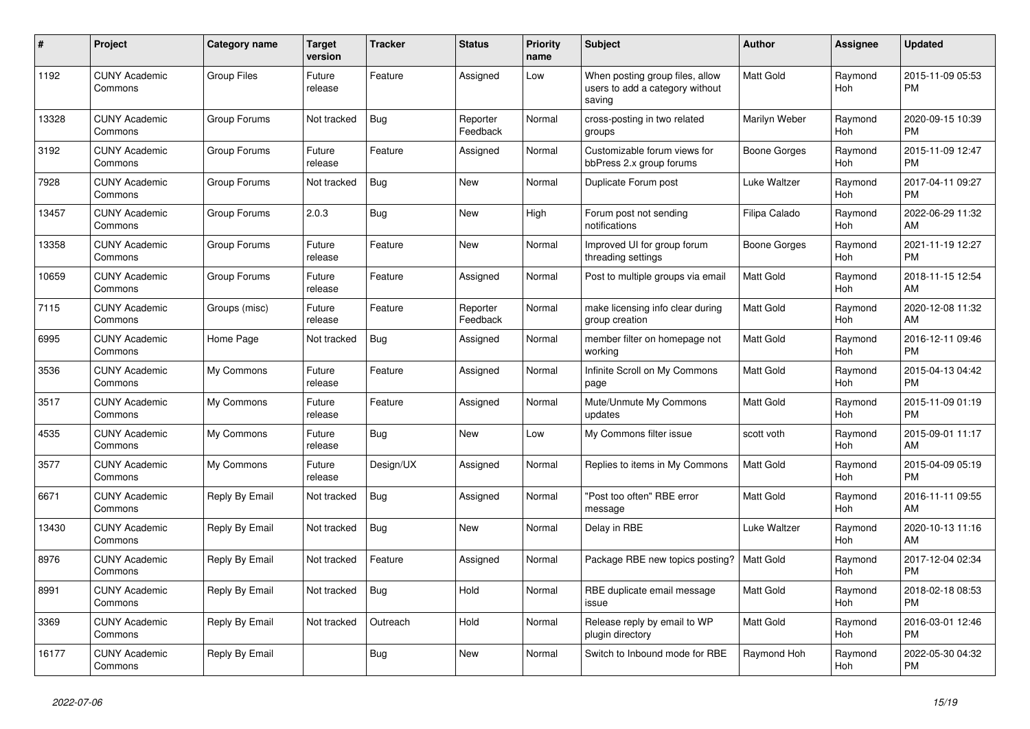| #     | <b>Project</b>                  | <b>Category name</b> | <b>Target</b><br>version | <b>Tracker</b> | <b>Status</b>        | <b>Priority</b><br>name | <b>Subject</b>                                                               | Author              | <b>Assignee</b> | <b>Updated</b>                |
|-------|---------------------------------|----------------------|--------------------------|----------------|----------------------|-------------------------|------------------------------------------------------------------------------|---------------------|-----------------|-------------------------------|
| 1192  | <b>CUNY Academic</b><br>Commons | <b>Group Files</b>   | Future<br>release        | Feature        | Assigned             | Low                     | When posting group files, allow<br>users to add a category without<br>saving | <b>Matt Gold</b>    | Raymond<br>Hoh  | 2015-11-09 05:53<br>PM        |
| 13328 | <b>CUNY Academic</b><br>Commons | Group Forums         | Not tracked              | <b>Bug</b>     | Reporter<br>Feedback | Normal                  | cross-posting in two related<br>groups                                       | Marilyn Weber       | Raymond<br>Hoh  | 2020-09-15 10:39<br><b>PM</b> |
| 3192  | <b>CUNY Academic</b><br>Commons | Group Forums         | Future<br>release        | Feature        | Assigned             | Normal                  | Customizable forum views for<br>bbPress 2.x group forums                     | <b>Boone Gorges</b> | Raymond<br>Hoh  | 2015-11-09 12:47<br><b>PM</b> |
| 7928  | <b>CUNY Academic</b><br>Commons | Group Forums         | Not tracked              | Bug            | <b>New</b>           | Normal                  | Duplicate Forum post                                                         | Luke Waltzer        | Raymond<br>Hoh  | 2017-04-11 09:27<br><b>PM</b> |
| 13457 | <b>CUNY Academic</b><br>Commons | Group Forums         | 2.0.3                    | Bug            | New                  | High                    | Forum post not sending<br>notifications                                      | Filipa Calado       | Raymond<br>Hoh  | 2022-06-29 11:32<br>AM        |
| 13358 | <b>CUNY Academic</b><br>Commons | Group Forums         | Future<br>release        | Feature        | New                  | Normal                  | Improved UI for group forum<br>threading settings                            | Boone Gorges        | Raymond<br>Hoh  | 2021-11-19 12:27<br><b>PM</b> |
| 10659 | <b>CUNY Academic</b><br>Commons | Group Forums         | Future<br>release        | Feature        | Assigned             | Normal                  | Post to multiple groups via email                                            | <b>Matt Gold</b>    | Raymond<br>Hoh  | 2018-11-15 12:54<br>AM        |
| 7115  | <b>CUNY Academic</b><br>Commons | Groups (misc)        | Future<br>release        | Feature        | Reporter<br>Feedback | Normal                  | make licensing info clear during<br>group creation                           | <b>Matt Gold</b>    | Raymond<br>Hoh  | 2020-12-08 11:32<br>AM        |
| 6995  | <b>CUNY Academic</b><br>Commons | Home Page            | Not tracked              | Bug            | Assigned             | Normal                  | member filter on homepage not<br>working                                     | Matt Gold           | Raymond<br>Hoh  | 2016-12-11 09:46<br><b>PM</b> |
| 3536  | <b>CUNY Academic</b><br>Commons | My Commons           | Future<br>release        | Feature        | Assigned             | Normal                  | Infinite Scroll on My Commons<br>page                                        | <b>Matt Gold</b>    | Raymond<br>Hoh  | 2015-04-13 04:42<br><b>PM</b> |
| 3517  | <b>CUNY Academic</b><br>Commons | My Commons           | Future<br>release        | Feature        | Assigned             | Normal                  | Mute/Unmute My Commons<br>updates                                            | <b>Matt Gold</b>    | Raymond<br>Hoh  | 2015-11-09 01:19<br><b>PM</b> |
| 4535  | <b>CUNY Academic</b><br>Commons | My Commons           | Future<br>release        | Bug            | New                  | Low                     | My Commons filter issue                                                      | scott voth          | Raymond<br>Hoh  | 2015-09-01 11:17<br>AM        |
| 3577  | <b>CUNY Academic</b><br>Commons | My Commons           | Future<br>release        | Design/UX      | Assigned             | Normal                  | Replies to items in My Commons                                               | <b>Matt Gold</b>    | Raymond<br>Hoh  | 2015-04-09 05:19<br><b>PM</b> |
| 6671  | <b>CUNY Academic</b><br>Commons | Reply By Email       | Not tracked              | Bug            | Assigned             | Normal                  | "Post too often" RBE error<br>message                                        | Matt Gold           | Raymond<br>Hoh  | 2016-11-11 09:55<br>AM        |
| 13430 | <b>CUNY Academic</b><br>Commons | Reply By Email       | Not tracked              | <b>Bug</b>     | New                  | Normal                  | Delay in RBE                                                                 | Luke Waltzer        | Raymond<br>Hoh  | 2020-10-13 11:16<br>AM        |
| 8976  | <b>CUNY Academic</b><br>Commons | Reply By Email       | Not tracked              | Feature        | Assigned             | Normal                  | Package RBE new topics posting?                                              | Matt Gold           | Raymond<br>Hoh  | 2017-12-04 02:34<br><b>PM</b> |
| 8991  | <b>CUNY Academic</b><br>Commons | Reply By Email       | Not tracked              | Bug            | Hold                 | Normal                  | RBE duplicate email message<br>issue                                         | <b>Matt Gold</b>    | Raymond<br>Hoh  | 2018-02-18 08:53<br><b>PM</b> |
| 3369  | <b>CUNY Academic</b><br>Commons | Reply By Email       | Not tracked              | Outreach       | Hold                 | Normal                  | Release reply by email to WP<br>plugin directory                             | Matt Gold           | Raymond<br>Hoh  | 2016-03-01 12:46<br><b>PM</b> |
| 16177 | <b>CUNY Academic</b><br>Commons | Reply By Email       |                          | Bug            | <b>New</b>           | Normal                  | Switch to Inbound mode for RBE                                               | Raymond Hoh         | Raymond<br>Hoh  | 2022-05-30 04:32<br><b>PM</b> |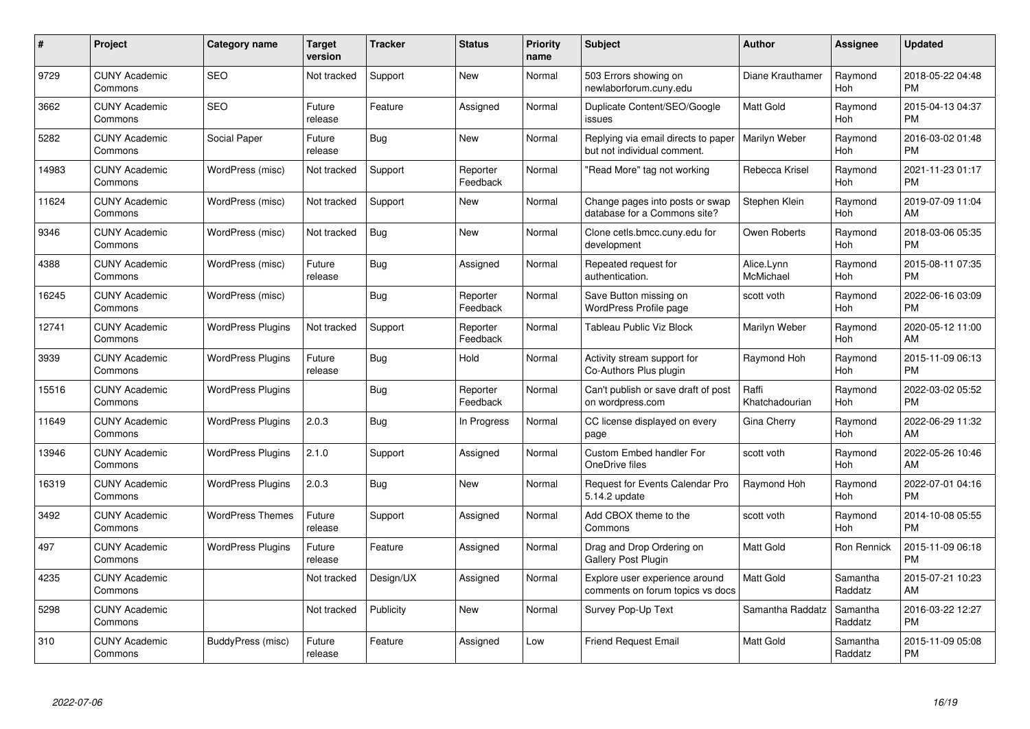| #     | <b>Project</b>                  | Category name            | Target<br>version | <b>Tracker</b> | <b>Status</b>        | <b>Priority</b><br>name | <b>Subject</b>                                                     | <b>Author</b>           | Assignee            | <b>Updated</b>                |
|-------|---------------------------------|--------------------------|-------------------|----------------|----------------------|-------------------------|--------------------------------------------------------------------|-------------------------|---------------------|-------------------------------|
| 9729  | <b>CUNY Academic</b><br>Commons | <b>SEO</b>               | Not tracked       | Support        | <b>New</b>           | Normal                  | 503 Errors showing on<br>newlaborforum.cuny.edu                    | Diane Krauthamer        | Raymond<br>Hoh      | 2018-05-22 04:48<br><b>PM</b> |
| 3662  | <b>CUNY Academic</b><br>Commons | <b>SEO</b>               | Future<br>release | Feature        | Assigned             | Normal                  | Duplicate Content/SEO/Google<br>issues                             | Matt Gold               | Raymond<br>Hoh      | 2015-04-13 04:37<br><b>PM</b> |
| 5282  | <b>CUNY Academic</b><br>Commons | Social Paper             | Future<br>release | Bug            | <b>New</b>           | Normal                  | Replying via email directs to paper<br>but not individual comment. | Marilyn Weber           | Raymond<br>Hoh      | 2016-03-02 01:48<br><b>PM</b> |
| 14983 | <b>CUNY Academic</b><br>Commons | WordPress (misc)         | Not tracked       | Support        | Reporter<br>Feedback | Normal                  | "Read More" tag not working                                        | Rebecca Krisel          | Raymond<br>Hoh      | 2021-11-23 01:17<br><b>PM</b> |
| 11624 | <b>CUNY Academic</b><br>Commons | WordPress (misc)         | Not tracked       | Support        | <b>New</b>           | Normal                  | Change pages into posts or swap<br>database for a Commons site?    | Stephen Klein           | Raymond<br>Hoh      | 2019-07-09 11:04<br><b>AM</b> |
| 9346  | <b>CUNY Academic</b><br>Commons | WordPress (misc)         | Not tracked       | <b>Bug</b>     | <b>New</b>           | Normal                  | Clone cetls.bmcc.cuny.edu for<br>development                       | Owen Roberts            | Raymond<br>Hoh      | 2018-03-06 05:35<br><b>PM</b> |
| 4388  | <b>CUNY Academic</b><br>Commons | WordPress (misc)         | Future<br>release | <b>Bug</b>     | Assigned             | Normal                  | Repeated request for<br>authentication.                            | Alice.Lynn<br>McMichael | Raymond<br>Hoh      | 2015-08-11 07:35<br><b>PM</b> |
| 16245 | <b>CUNY Academic</b><br>Commons | WordPress (misc)         |                   | <b>Bug</b>     | Reporter<br>Feedback | Normal                  | Save Button missing on<br>WordPress Profile page                   | scott voth              | Raymond<br>Hoh      | 2022-06-16 03:09<br><b>PM</b> |
| 12741 | <b>CUNY Academic</b><br>Commons | <b>WordPress Plugins</b> | Not tracked       | Support        | Reporter<br>Feedback | Normal                  | <b>Tableau Public Viz Block</b>                                    | Marilyn Weber           | Raymond<br>Hoh      | 2020-05-12 11:00<br>AM        |
| 3939  | <b>CUNY Academic</b><br>Commons | <b>WordPress Plugins</b> | Future<br>release | Bug            | Hold                 | Normal                  | Activity stream support for<br>Co-Authors Plus plugin              | Raymond Hoh             | Raymond<br>Hoh      | 2015-11-09 06:13<br><b>PM</b> |
| 15516 | <b>CUNY Academic</b><br>Commons | <b>WordPress Plugins</b> |                   | Bug            | Reporter<br>Feedback | Normal                  | Can't publish or save draft of post<br>on wordpress.com            | Raffi<br>Khatchadourian | Raymond<br>Hoh      | 2022-03-02 05:52<br><b>PM</b> |
| 11649 | <b>CUNY Academic</b><br>Commons | <b>WordPress Plugins</b> | 2.0.3             | Bug            | In Progress          | Normal                  | CC license displayed on every<br>page                              | Gina Cherry             | Raymond<br>Hoh      | 2022-06-29 11:32<br>AM        |
| 13946 | <b>CUNY Academic</b><br>Commons | <b>WordPress Plugins</b> | 2.1.0             | Support        | Assigned             | Normal                  | <b>Custom Embed handler For</b><br>OneDrive files                  | scott voth              | Raymond<br>Hoh      | 2022-05-26 10:46<br>AM        |
| 16319 | <b>CUNY Academic</b><br>Commons | <b>WordPress Plugins</b> | 2.0.3             | <b>Bug</b>     | <b>New</b>           | Normal                  | <b>Request for Events Calendar Pro</b><br>5.14.2 update            | Raymond Hoh             | Raymond<br>Hoh      | 2022-07-01 04:16<br><b>PM</b> |
| 3492  | <b>CUNY Academic</b><br>Commons | <b>WordPress Themes</b>  | Future<br>release | Support        | Assigned             | Normal                  | Add CBOX theme to the<br>Commons                                   | scott voth              | Raymond<br>Hoh      | 2014-10-08 05:55<br><b>PM</b> |
| 497   | <b>CUNY Academic</b><br>Commons | <b>WordPress Plugins</b> | Future<br>release | Feature        | Assigned             | Normal                  | Drag and Drop Ordering on<br>Gallery Post Plugin                   | <b>Matt Gold</b>        | Ron Rennick         | 2015-11-09 06:18<br><b>PM</b> |
| 4235  | <b>CUNY Academic</b><br>Commons |                          | Not tracked       | Design/UX      | Assigned             | Normal                  | Explore user experience around<br>comments on forum topics vs docs | Matt Gold               | Samantha<br>Raddatz | 2015-07-21 10:23<br>AM        |
| 5298  | <b>CUNY Academic</b><br>Commons |                          | Not tracked       | Publicity      | New                  | Normal                  | Survey Pop-Up Text                                                 | Samantha Raddatz        | Samantha<br>Raddatz | 2016-03-22 12:27<br><b>PM</b> |
| 310   | <b>CUNY Academic</b><br>Commons | BuddyPress (misc)        | Future<br>release | Feature        | Assigned             | Low                     | <b>Friend Request Email</b>                                        | Matt Gold               | Samantha<br>Raddatz | 2015-11-09 05:08<br>PM        |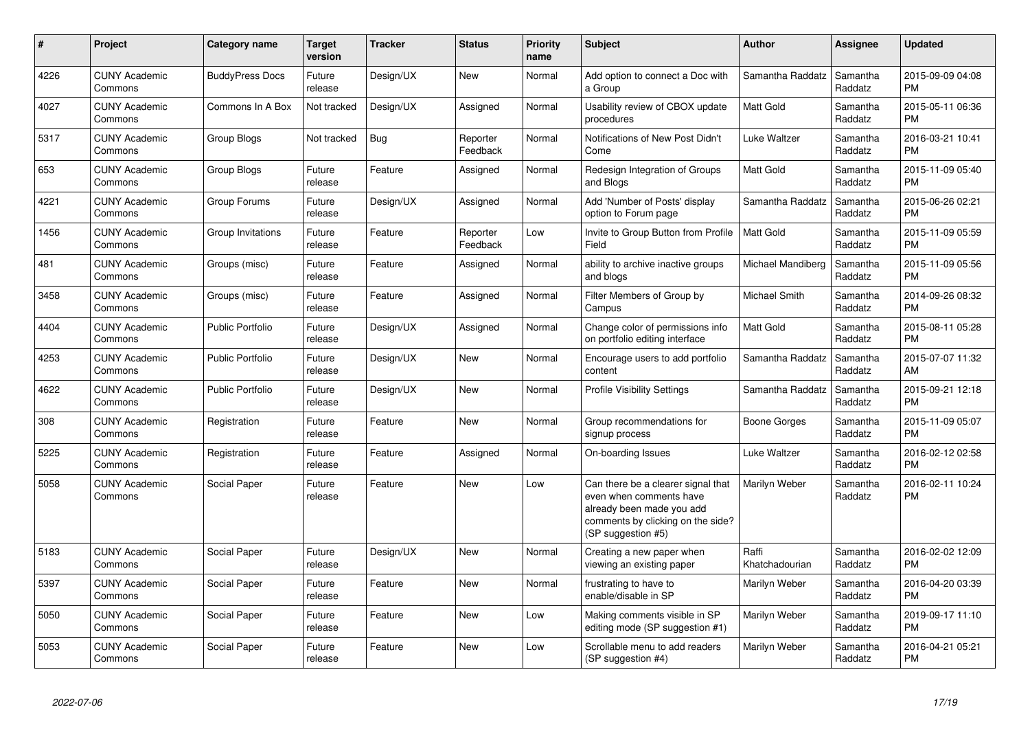| $\pmb{\#}$ | Project                         | <b>Category name</b>    | <b>Target</b><br>version | <b>Tracker</b> | <b>Status</b>        | Priority<br>name | Subject                                                                                                                                               | <b>Author</b>           | Assignee            | <b>Updated</b>                |
|------------|---------------------------------|-------------------------|--------------------------|----------------|----------------------|------------------|-------------------------------------------------------------------------------------------------------------------------------------------------------|-------------------------|---------------------|-------------------------------|
| 4226       | <b>CUNY Academic</b><br>Commons | <b>BuddyPress Docs</b>  | Future<br>release        | Design/UX      | <b>New</b>           | Normal           | Add option to connect a Doc with<br>a Group                                                                                                           | Samantha Raddatz        | Samantha<br>Raddatz | 2015-09-09 04:08<br><b>PM</b> |
| 4027       | <b>CUNY Academic</b><br>Commons | Commons In A Box        | Not tracked              | Design/UX      | Assigned             | Normal           | Usability review of CBOX update<br>procedures                                                                                                         | <b>Matt Gold</b>        | Samantha<br>Raddatz | 2015-05-11 06:36<br><b>PM</b> |
| 5317       | <b>CUNY Academic</b><br>Commons | Group Blogs             | Not tracked              | <b>Bug</b>     | Reporter<br>Feedback | Normal           | Notifications of New Post Didn't<br>Come                                                                                                              | Luke Waltzer            | Samantha<br>Raddatz | 2016-03-21 10:41<br><b>PM</b> |
| 653        | <b>CUNY Academic</b><br>Commons | Group Blogs             | Future<br>release        | Feature        | Assigned             | Normal           | Redesign Integration of Groups<br>and Blogs                                                                                                           | Matt Gold               | Samantha<br>Raddatz | 2015-11-09 05:40<br><b>PM</b> |
| 4221       | <b>CUNY Academic</b><br>Commons | Group Forums            | Future<br>release        | Design/UX      | Assigned             | Normal           | Add 'Number of Posts' display<br>option to Forum page                                                                                                 | Samantha Raddatz        | Samantha<br>Raddatz | 2015-06-26 02:21<br><b>PM</b> |
| 1456       | <b>CUNY Academic</b><br>Commons | Group Invitations       | Future<br>release        | Feature        | Reporter<br>Feedback | Low              | Invite to Group Button from Profile<br>Field                                                                                                          | <b>Matt Gold</b>        | Samantha<br>Raddatz | 2015-11-09 05:59<br><b>PM</b> |
| 481        | <b>CUNY Academic</b><br>Commons | Groups (misc)           | Future<br>release        | Feature        | Assigned             | Normal           | ability to archive inactive groups<br>and blogs                                                                                                       | Michael Mandiberg       | Samantha<br>Raddatz | 2015-11-09 05:56<br><b>PM</b> |
| 3458       | <b>CUNY Academic</b><br>Commons | Groups (misc)           | Future<br>release        | Feature        | Assigned             | Normal           | Filter Members of Group by<br>Campus                                                                                                                  | Michael Smith           | Samantha<br>Raddatz | 2014-09-26 08:32<br><b>PM</b> |
| 4404       | <b>CUNY Academic</b><br>Commons | <b>Public Portfolio</b> | Future<br>release        | Design/UX      | Assigned             | Normal           | Change color of permissions info<br>on portfolio editing interface                                                                                    | Matt Gold               | Samantha<br>Raddatz | 2015-08-11 05:28<br><b>PM</b> |
| 4253       | <b>CUNY Academic</b><br>Commons | <b>Public Portfolio</b> | Future<br>release        | Design/UX      | New                  | Normal           | Encourage users to add portfolio<br>content                                                                                                           | Samantha Raddatz        | Samantha<br>Raddatz | 2015-07-07 11:32<br>AM        |
| 4622       | <b>CUNY Academic</b><br>Commons | <b>Public Portfolio</b> | Future<br>release        | Design/UX      | <b>New</b>           | Normal           | <b>Profile Visibility Settings</b>                                                                                                                    | Samantha Raddatz        | Samantha<br>Raddatz | 2015-09-21 12:18<br><b>PM</b> |
| 308        | <b>CUNY Academic</b><br>Commons | Registration            | Future<br>release        | Feature        | <b>New</b>           | Normal           | Group recommendations for<br>signup process                                                                                                           | Boone Gorges            | Samantha<br>Raddatz | 2015-11-09 05:07<br><b>PM</b> |
| 5225       | <b>CUNY Academic</b><br>Commons | Registration            | Future<br>release        | Feature        | Assigned             | Normal           | On-boarding Issues                                                                                                                                    | Luke Waltzer            | Samantha<br>Raddatz | 2016-02-12 02:58<br><b>PM</b> |
| 5058       | <b>CUNY Academic</b><br>Commons | Social Paper            | Future<br>release        | Feature        | <b>New</b>           | Low              | Can there be a clearer signal that<br>even when comments have<br>already been made you add<br>comments by clicking on the side?<br>(SP suggestion #5) | Marilyn Weber           | Samantha<br>Raddatz | 2016-02-11 10:24<br><b>PM</b> |
| 5183       | <b>CUNY Academic</b><br>Commons | Social Paper            | Future<br>release        | Design/UX      | <b>New</b>           | Normal           | Creating a new paper when<br>viewing an existing paper                                                                                                | Raffi<br>Khatchadourian | Samantha<br>Raddatz | 2016-02-02 12:09<br><b>PM</b> |
| 5397       | <b>CUNY Academic</b><br>Commons | Social Paper            | Future<br>release        | Feature        | <b>New</b>           | Normal           | frustrating to have to<br>enable/disable in SP                                                                                                        | Marilyn Weber           | Samantha<br>Raddatz | 2016-04-20 03:39<br><b>PM</b> |
| 5050       | <b>CUNY Academic</b><br>Commons | Social Paper            | Future<br>release        | Feature        | New                  | Low              | Making comments visible in SP<br>editing mode (SP suggestion #1)                                                                                      | Marilyn Weber           | Samantha<br>Raddatz | 2019-09-17 11:10<br><b>PM</b> |
| 5053       | <b>CUNY Academic</b><br>Commons | Social Paper            | Future<br>release        | Feature        | New                  | Low              | Scrollable menu to add readers<br>(SP suggestion #4)                                                                                                  | Marilyn Weber           | Samantha<br>Raddatz | 2016-04-21 05:21<br><b>PM</b> |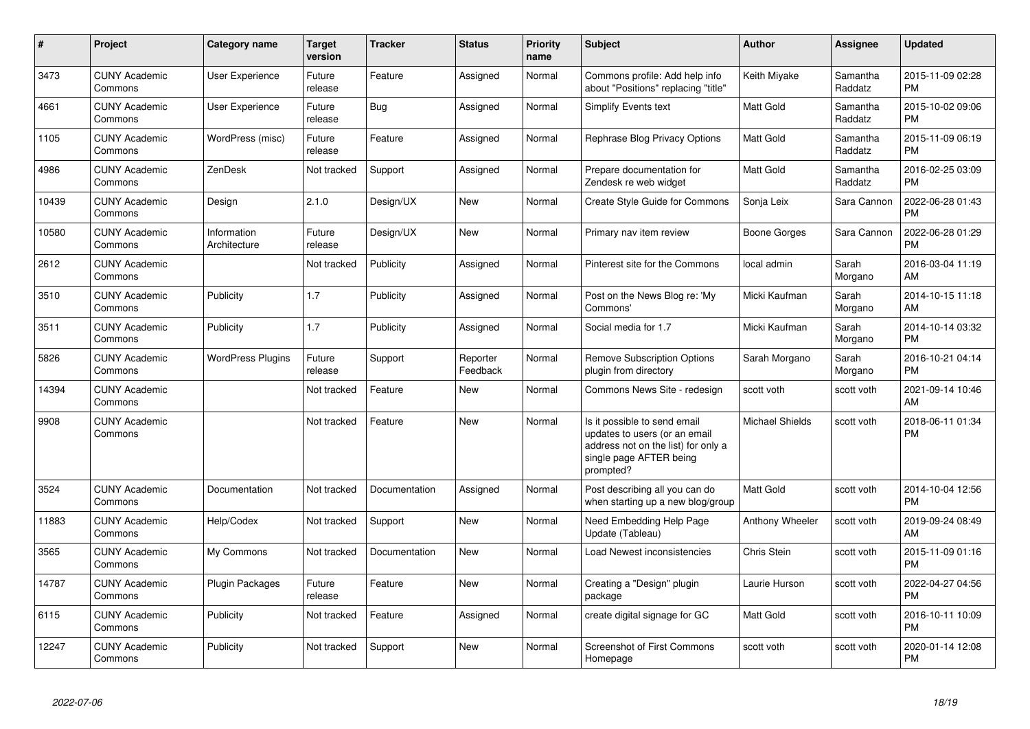| #     | <b>Project</b>                  | Category name               | <b>Target</b><br>version | <b>Tracker</b> | <b>Status</b>        | <b>Priority</b><br>name | <b>Subject</b>                                                                                                                               | <b>Author</b>          | <b>Assignee</b>     | <b>Updated</b>                |
|-------|---------------------------------|-----------------------------|--------------------------|----------------|----------------------|-------------------------|----------------------------------------------------------------------------------------------------------------------------------------------|------------------------|---------------------|-------------------------------|
| 3473  | <b>CUNY Academic</b><br>Commons | User Experience             | Future<br>release        | Feature        | Assigned             | Normal                  | Commons profile: Add help info<br>about "Positions" replacing "title"                                                                        | Keith Miyake           | Samantha<br>Raddatz | 2015-11-09 02:28<br><b>PM</b> |
| 4661  | <b>CUNY Academic</b><br>Commons | <b>User Experience</b>      | Future<br>release        | Bug            | Assigned             | Normal                  | <b>Simplify Events text</b>                                                                                                                  | <b>Matt Gold</b>       | Samantha<br>Raddatz | 2015-10-02 09:06<br><b>PM</b> |
| 1105  | <b>CUNY Academic</b><br>Commons | WordPress (misc)            | Future<br>release        | Feature        | Assigned             | Normal                  | Rephrase Blog Privacy Options                                                                                                                | Matt Gold              | Samantha<br>Raddatz | 2015-11-09 06:19<br><b>PM</b> |
| 4986  | <b>CUNY Academic</b><br>Commons | <b>ZenDesk</b>              | Not tracked              | Support        | Assigned             | Normal                  | Prepare documentation for<br>Zendesk re web widget                                                                                           | <b>Matt Gold</b>       | Samantha<br>Raddatz | 2016-02-25 03:09<br><b>PM</b> |
| 10439 | <b>CUNY Academic</b><br>Commons | Design                      | 2.1.0                    | Design/UX      | New                  | Normal                  | <b>Create Style Guide for Commons</b>                                                                                                        | Sonja Leix             | Sara Cannon         | 2022-06-28 01:43<br><b>PM</b> |
| 10580 | <b>CUNY Academic</b><br>Commons | Information<br>Architecture | Future<br>release        | Design/UX      | New                  | Normal                  | Primary nav item review                                                                                                                      | <b>Boone Gorges</b>    | Sara Cannon         | 2022-06-28 01:29<br><b>PM</b> |
| 2612  | <b>CUNY Academic</b><br>Commons |                             | Not tracked              | Publicity      | Assigned             | Normal                  | Pinterest site for the Commons                                                                                                               | local admin            | Sarah<br>Morgano    | 2016-03-04 11:19<br>AM        |
| 3510  | <b>CUNY Academic</b><br>Commons | Publicity                   | 1.7                      | Publicity      | Assigned             | Normal                  | Post on the News Blog re: 'My<br>Commons'                                                                                                    | Micki Kaufman          | Sarah<br>Morgano    | 2014-10-15 11:18<br>AM        |
| 3511  | <b>CUNY Academic</b><br>Commons | Publicity                   | 1.7                      | Publicity      | Assigned             | Normal                  | Social media for 1.7                                                                                                                         | Micki Kaufman          | Sarah<br>Morgano    | 2014-10-14 03:32<br><b>PM</b> |
| 5826  | <b>CUNY Academic</b><br>Commons | <b>WordPress Plugins</b>    | Future<br>release        | Support        | Reporter<br>Feedback | Normal                  | <b>Remove Subscription Options</b><br>plugin from directory                                                                                  | Sarah Morgano          | Sarah<br>Morgano    | 2016-10-21 04:14<br><b>PM</b> |
| 14394 | <b>CUNY Academic</b><br>Commons |                             | Not tracked              | Feature        | New                  | Normal                  | Commons News Site - redesign                                                                                                                 | scott voth             | scott voth          | 2021-09-14 10:46<br>AM        |
| 9908  | <b>CUNY Academic</b><br>Commons |                             | Not tracked              | Feature        | New                  | Normal                  | Is it possible to send email<br>updates to users (or an email<br>address not on the list) for only a<br>single page AFTER being<br>prompted? | <b>Michael Shields</b> | scott voth          | 2018-06-11 01:34<br><b>PM</b> |
| 3524  | <b>CUNY Academic</b><br>Commons | Documentation               | Not tracked              | Documentation  | Assigned             | Normal                  | Post describing all you can do<br>when starting up a new blog/group                                                                          | Matt Gold              | scott voth          | 2014-10-04 12:56<br><b>PM</b> |
| 11883 | <b>CUNY Academic</b><br>Commons | Help/Codex                  | Not tracked              | Support        | New                  | Normal                  | Need Embedding Help Page<br>Update (Tableau)                                                                                                 | Anthony Wheeler        | scott voth          | 2019-09-24 08:49<br>AM        |
| 3565  | <b>CUNY Academic</b><br>Commons | My Commons                  | Not tracked              | Documentation  | New                  | Normal                  | Load Newest inconsistencies                                                                                                                  | Chris Stein            | scott voth          | 2015-11-09 01:16<br><b>PM</b> |
| 14787 | <b>CUNY Academic</b><br>Commons | <b>Plugin Packages</b>      | Future<br>release        | Feature        | New                  | Normal                  | Creating a "Design" plugin<br>package                                                                                                        | Laurie Hurson          | scott voth          | 2022-04-27 04:56<br><b>PM</b> |
| 6115  | <b>CUNY Academic</b><br>Commons | Publicity                   | Not tracked              | Feature        | Assigned             | Normal                  | create digital signage for GC                                                                                                                | <b>Matt Gold</b>       | scott voth          | 2016-10-11 10:09<br><b>PM</b> |
| 12247 | <b>CUNY Academic</b><br>Commons | Publicity                   | Not tracked              | Support        | <b>New</b>           | Normal                  | <b>Screenshot of First Commons</b><br>Homepage                                                                                               | scott voth             | scott voth          | 2020-01-14 12:08<br>PM        |